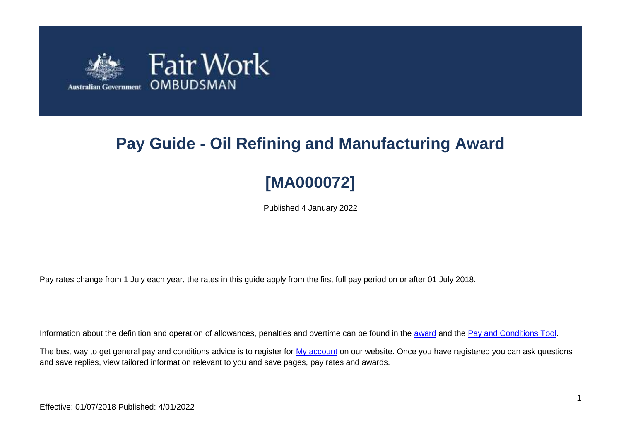

# **Pay Guide - Oil Refining and Manufacturing Award**

# **[MA000072]**

Published 4 January 2022

Pay rates change from 1 July each year, the rates in this guide apply from the first full pay period on or after 01 July 2018.

Information about the definition and operation of allowances, penalties and overtime can be found in the [award](https://www.fairwork.gov.au/awards-and-agreements/awards/list-of-awards) and the [Pay and Conditions Tool.](https://calculate.fairwork.gov.au/)

The best way to get general pay and conditions advice is to register for [My account](https://www.fairwork.gov.au/my-account/registerpage.aspx) on our website. Once you have registered you can ask questions and save replies, view tailored information relevant to you and save pages, pay rates and awards.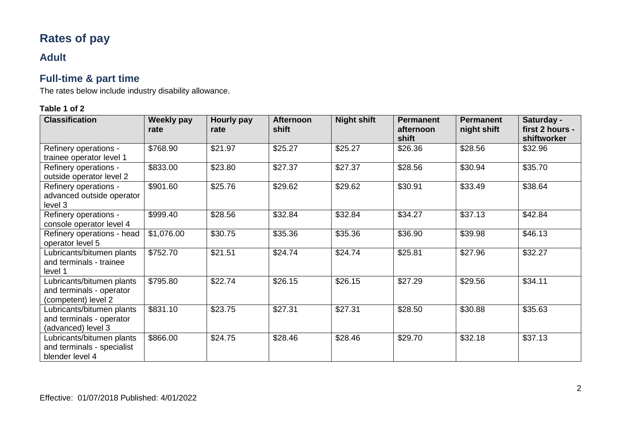# **Rates of pay**

### **Adult**

# **Full-time & part time**

The rates below include industry disability allowance.

| <b>Classification</b>                                                        | Weekly pay<br>rate | Hourly pay<br>rate | <b>Afternoon</b><br>shift | <b>Night shift</b> | <b>Permanent</b><br>afternoon<br>shift | <b>Permanent</b><br>night shift | Saturday -<br>first 2 hours -<br>shiftworker |
|------------------------------------------------------------------------------|--------------------|--------------------|---------------------------|--------------------|----------------------------------------|---------------------------------|----------------------------------------------|
| Refinery operations -<br>trainee operator level 1                            | \$768.90           | \$21.97            | \$25.27                   | \$25.27            | \$26.36                                | \$28.56                         | \$32.96                                      |
| Refinery operations -<br>outside operator level 2                            | \$833.00           | \$23.80            | \$27.37                   | \$27.37            | \$28.56                                | \$30.94                         | \$35.70                                      |
| Refinery operations -<br>advanced outside operator<br>level 3                | \$901.60           | \$25.76            | \$29.62                   | \$29.62            | \$30.91                                | \$33.49                         | \$38.64                                      |
| Refinery operations -<br>console operator level 4                            | \$999.40           | \$28.56            | \$32.84                   | \$32.84            | \$34.27                                | \$37.13                         | \$42.84                                      |
| Refinery operations - head<br>operator level 5                               | \$1,076.00         | \$30.75            | \$35.36                   | \$35.36            | \$36.90                                | \$39.98                         | \$46.13                                      |
| Lubricants/bitumen plants<br>and terminals - trainee<br>level 1              | \$752.70           | \$21.51            | \$24.74                   | \$24.74            | \$25.81                                | \$27.96                         | $\overline{$}32.27$                          |
| Lubricants/bitumen plants<br>and terminals - operator<br>(competent) level 2 | \$795.80           | \$22.74            | \$26.15                   | \$26.15            | \$27.29                                | \$29.56                         | \$34.11                                      |
| Lubricants/bitumen plants<br>and terminals - operator<br>(advanced) level 3  | \$831.10           | \$23.75            | \$27.31                   | \$27.31            | \$28.50                                | \$30.88                         | \$35.63                                      |
| Lubricants/bitumen plants<br>and terminals - specialist<br>blender level 4   | \$866.00           | \$24.75            | \$28.46                   | \$28.46            | \$29.70                                | \$32.18                         | \$37.13                                      |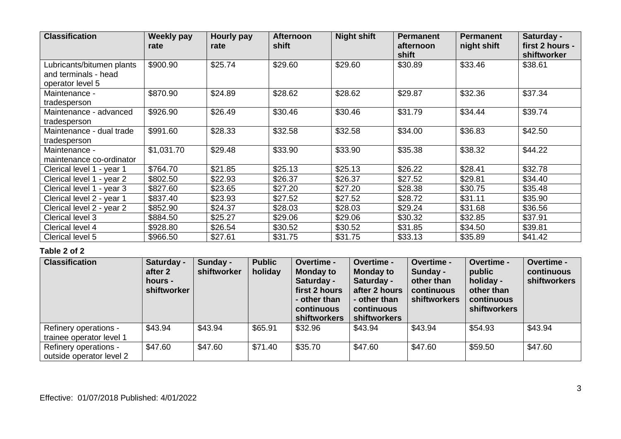| <b>Classification</b>                                                 | Weekly pay<br>rate | Hourly pay<br>rate | <b>Afternoon</b><br>shift | <b>Night shift</b> | <b>Permanent</b><br>afternoon<br>shift | <b>Permanent</b><br>night shift | Saturday -<br>first 2 hours -<br>shiftworker |
|-----------------------------------------------------------------------|--------------------|--------------------|---------------------------|--------------------|----------------------------------------|---------------------------------|----------------------------------------------|
| Lubricants/bitumen plants<br>and terminals - head<br>operator level 5 | \$900.90           | \$25.74            | \$29.60                   | \$29.60            | \$30.89                                | \$33.46                         | \$38.61                                      |
| Maintenance -<br>tradesperson                                         | \$870.90           | \$24.89            | \$28.62                   | \$28.62            | \$29.87                                | \$32.36                         | \$37.34                                      |
| Maintenance - advanced<br>tradesperson                                | \$926.90           | \$26.49            | \$30.46                   | \$30.46            | \$31.79                                | \$34.44                         | \$39.74                                      |
| Maintenance - dual trade<br>tradesperson                              | \$991.60           | \$28.33            | \$32.58                   | \$32.58            | \$34.00                                | \$36.83                         | \$42.50                                      |
| Maintenance -<br>maintenance co-ordinator                             | \$1,031.70         | \$29.48            | \$33.90                   | \$33.90            | \$35.38                                | \$38.32                         | \$44.22                                      |
| Clerical level 1 - year 1                                             | \$764.70           | \$21.85            | \$25.13                   | \$25.13            | \$26.22                                | \$28.41                         | \$32.78                                      |
| Clerical level 1 - year 2                                             | \$802.50           | \$22.93            | \$26.37                   | \$26.37            | \$27.52                                | \$29.81                         | \$34.40                                      |
| Clerical level 1 - year 3                                             | \$827.60           | \$23.65            | \$27.20                   | \$27.20            | \$28.38                                | \$30.75                         | \$35.48                                      |
| Clerical level 2 - year 1                                             | \$837.40           | \$23.93            | \$27.52                   | \$27.52            | \$28.72                                | \$31.11                         | \$35.90                                      |
| Clerical level 2 - year 2                                             | \$852.90           | \$24.37            | \$28.03                   | \$28.03            | \$29.24                                | \$31.68                         | \$36.56                                      |
| Clerical level 3                                                      | \$884.50           | \$25.27            | \$29.06                   | \$29.06            | \$30.32                                | \$32.85                         | \$37.91                                      |
| Clerical level 4                                                      | \$928.80           | \$26.54            | \$30.52                   | \$30.52            | \$31.85                                | \$34.50                         | \$39.81                                      |
| Clerical level 5                                                      | \$966.50           | \$27.61            | \$31.75                   | \$31.75            | \$33.13                                | \$35.89                         | \$41.42                                      |

| <b>Classification</b>                             | Saturday -<br>after 2<br>hours -<br>shiftworker | Sunday -<br>shiftworker | <b>Public</b><br>holiday | Overtime -<br><b>Monday to</b><br>Saturday -<br>first 2 hours<br>- other than<br>continuous<br>shiftworkers | Overtime -<br><b>Monday to</b><br>Saturday -<br>after 2 hours<br>- other than<br>continuous<br>shiftworkers | Overtime -<br>Sunday -<br>other than<br>continuous<br>shiftworkers | Overtime -<br>public<br>holiday -<br>other than<br>continuous<br><b>shiftworkers</b> | Overtime -<br>continuous<br>shiftworkers |
|---------------------------------------------------|-------------------------------------------------|-------------------------|--------------------------|-------------------------------------------------------------------------------------------------------------|-------------------------------------------------------------------------------------------------------------|--------------------------------------------------------------------|--------------------------------------------------------------------------------------|------------------------------------------|
| Refinery operations -<br>trainee operator level 1 | \$43.94                                         | \$43.94                 | \$65.91                  | \$32.96                                                                                                     | \$43.94                                                                                                     | \$43.94                                                            | \$54.93                                                                              | \$43.94                                  |
| Refinery operations -<br>outside operator level 2 | \$47.60                                         | \$47.60                 | \$71.40                  | \$35.70                                                                                                     | \$47.60                                                                                                     | \$47.60                                                            | \$59.50                                                                              | \$47.60                                  |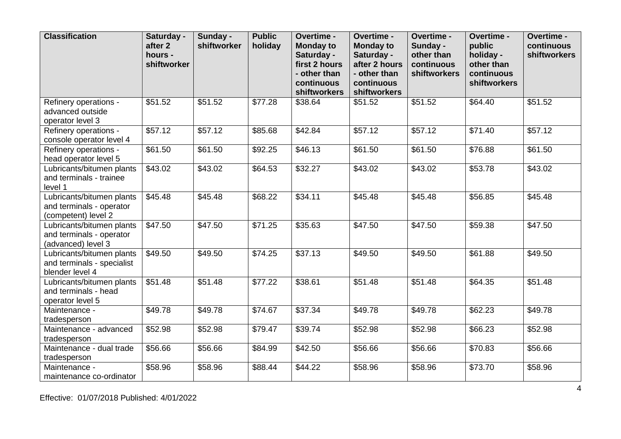| <b>Classification</b>                                                        | Saturday -<br>after 2<br>hours -<br>shiftworker | Sunday -<br>shiftworker | <b>Public</b><br>holiday | Overtime -<br><b>Monday to</b><br>Saturday -<br>first 2 hours<br>- other than<br>continuous<br>shiftworkers | Overtime -<br><b>Monday to</b><br>Saturday -<br>after 2 hours<br>- other than<br>continuous<br>shiftworkers | Overtime -<br>Sunday -<br>other than<br>continuous<br>shiftworkers | Overtime -<br>public<br>holiday -<br>other than<br>continuous<br>shiftworkers | Overtime -<br>continuous<br>shiftworkers |
|------------------------------------------------------------------------------|-------------------------------------------------|-------------------------|--------------------------|-------------------------------------------------------------------------------------------------------------|-------------------------------------------------------------------------------------------------------------|--------------------------------------------------------------------|-------------------------------------------------------------------------------|------------------------------------------|
| Refinery operations -<br>advanced outside<br>operator level 3                | \$51.52                                         | \$51.52                 | \$77.28                  | \$38.64                                                                                                     | \$51.52                                                                                                     | \$51.52                                                            | \$64.40                                                                       | \$51.52                                  |
| Refinery operations -<br>console operator level 4                            | \$57.12                                         | \$57.12                 | \$85.68                  | \$42.84                                                                                                     | \$57.12                                                                                                     | \$57.12                                                            | \$71.40                                                                       | $\overline{$}57.12$                      |
| Refinery operations -<br>head operator level 5                               | \$61.50                                         | \$61.50                 | \$92.25                  | \$46.13                                                                                                     | \$61.50                                                                                                     | \$61.50                                                            | \$76.88                                                                       | \$61.50                                  |
| Lubricants/bitumen plants<br>and terminals - trainee<br>level 1              | \$43.02                                         | \$43.02                 | \$64.53                  | \$32.27                                                                                                     | \$43.02                                                                                                     | \$43.02                                                            | \$53.78                                                                       | \$43.02                                  |
| Lubricants/bitumen plants<br>and terminals - operator<br>(competent) level 2 | \$45.48                                         | \$45.48                 | \$68.22                  | \$34.11                                                                                                     | \$45.48                                                                                                     | \$45.48                                                            | \$56.85                                                                       | \$45.48                                  |
| Lubricants/bitumen plants<br>and terminals - operator<br>(advanced) level 3  | \$47.50                                         | \$47.50                 | \$71.25                  | \$35.63                                                                                                     | \$47.50                                                                                                     | \$47.50                                                            | \$59.38                                                                       | \$47.50                                  |
| Lubricants/bitumen plants<br>and terminals - specialist<br>blender level 4   | \$49.50                                         | \$49.50                 | \$74.25                  | \$37.13                                                                                                     | \$49.50                                                                                                     | \$49.50                                                            | \$61.88                                                                       | \$49.50                                  |
| Lubricants/bitumen plants<br>and terminals - head<br>operator level 5        | \$51.48                                         | \$51.48                 | \$77.22                  | \$38.61                                                                                                     | \$51.48                                                                                                     | \$51.48                                                            | \$64.35                                                                       | \$51.48                                  |
| Maintenance -<br>tradesperson                                                | \$49.78                                         | \$49.78                 | \$74.67                  | \$37.34                                                                                                     | \$49.78                                                                                                     | \$49.78                                                            | \$62.23                                                                       | \$49.78                                  |
| Maintenance - advanced<br>tradesperson                                       | \$52.98                                         | \$52.98                 | \$79.47                  | \$39.74                                                                                                     | \$52.98                                                                                                     | \$52.98                                                            | \$66.23                                                                       | \$52.98                                  |
| Maintenance - dual trade<br>tradesperson                                     | \$56.66                                         | \$56.66                 | \$84.99                  | \$42.50                                                                                                     | \$56.66                                                                                                     | \$56.66                                                            | \$70.83                                                                       | \$56.66                                  |
| Maintenance -<br>maintenance co-ordinator                                    | \$58.96                                         | \$58.96                 | \$88.44                  | \$44.22                                                                                                     | \$58.96                                                                                                     | \$58.96                                                            | \$73.70                                                                       | \$58.96                                  |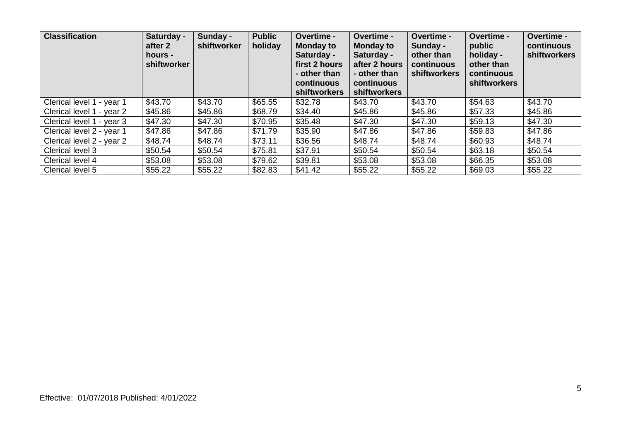| <b>Classification</b>     | Saturday -<br>after 2<br>hours -<br>shiftworker | Sunday -<br>shiftworker | <b>Public</b><br>holiday | Overtime -<br><b>Monday to</b><br>Saturday -<br>first 2 hours<br>- other than<br>continuous<br>shiftworkers | Overtime -<br><b>Monday to</b><br>Saturday -<br>after 2 hours<br>- other than<br>continuous<br>shiftworkers | <b>Overtime -</b><br>Sunday -<br>other than<br>continuous<br>shiftworkers | Overtime -<br>public<br>holiday -<br>other than<br>continuous<br><b>shiftworkers</b> | <b>Overtime -</b><br>continuous<br>shiftworkers |
|---------------------------|-------------------------------------------------|-------------------------|--------------------------|-------------------------------------------------------------------------------------------------------------|-------------------------------------------------------------------------------------------------------------|---------------------------------------------------------------------------|--------------------------------------------------------------------------------------|-------------------------------------------------|
| Clerical level 1 - year 1 | \$43.70                                         | \$43.70                 | \$65.55                  | \$32.78                                                                                                     | \$43.70                                                                                                     | \$43.70                                                                   | \$54.63                                                                              | \$43.70                                         |
| Clerical level 1 - year 2 | \$45.86                                         | \$45.86                 | \$68.79                  | \$34.40                                                                                                     | \$45.86                                                                                                     | \$45.86                                                                   | \$57.33                                                                              | \$45.86                                         |
| Clerical level 1 - year 3 | \$47.30                                         | \$47.30                 | \$70.95                  | \$35.48                                                                                                     | \$47.30                                                                                                     | \$47.30                                                                   | \$59.13                                                                              | \$47.30                                         |
| Clerical level 2 - year 1 | \$47.86                                         | \$47.86                 | \$71.79                  | \$35.90                                                                                                     | \$47.86                                                                                                     | \$47.86                                                                   | \$59.83                                                                              | \$47.86                                         |
| Clerical level 2 - year 2 | \$48.74                                         | \$48.74                 | \$73.11                  | \$36.56                                                                                                     | \$48.74                                                                                                     | \$48.74                                                                   | \$60.93                                                                              | \$48.74                                         |
| Clerical level 3          | \$50.54                                         | \$50.54                 | \$75.81                  | \$37.91                                                                                                     | \$50.54                                                                                                     | \$50.54                                                                   | \$63.18                                                                              | \$50.54                                         |
| Clerical level 4          | \$53.08                                         | \$53.08                 | \$79.62                  | \$39.81                                                                                                     | \$53.08                                                                                                     | \$53.08                                                                   | \$66.35                                                                              | \$53.08                                         |
| Clerical level 5          | \$55.22                                         | \$55.22                 | \$82.83                  | \$41.42                                                                                                     | \$55.22                                                                                                     | \$55.22                                                                   | \$69.03                                                                              | \$55.22                                         |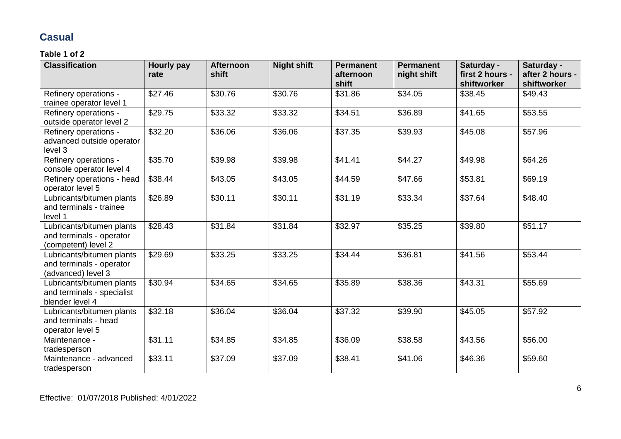# **Casual**

| <b>Classification</b>                                                        | Hourly pay<br>rate | <b>Afternoon</b><br>shift | <b>Night shift</b> | <b>Permanent</b><br>afternoon | <b>Permanent</b><br>night shift | Saturday -<br>first 2 hours - | Saturday -<br>after 2 hours - |
|------------------------------------------------------------------------------|--------------------|---------------------------|--------------------|-------------------------------|---------------------------------|-------------------------------|-------------------------------|
|                                                                              |                    |                           |                    | shift                         |                                 | shiftworker                   | shiftworker                   |
| Refinery operations -<br>trainee operator level 1                            | \$27.46            | \$30.76                   | \$30.76            | \$31.86                       | \$34.05                         | \$38.45                       | \$49.43                       |
| Refinery operations -<br>outside operator level 2                            | \$29.75            | \$33.32                   | \$33.32            | \$34.51                       | \$36.89                         | \$41.65                       | \$53.55                       |
| Refinery operations -<br>advanced outside operator<br>level 3                | \$32.20            | \$36.06                   | \$36.06            | \$37.35                       | \$39.93                         | \$45.08                       | \$57.96                       |
| Refinery operations -<br>console operator level 4                            | \$35.70            | \$39.98                   | \$39.98            | \$41.41                       | \$44.27                         | \$49.98                       | \$64.26                       |
| Refinery operations - head<br>operator level 5                               | \$38.44            | \$43.05                   | \$43.05            | \$44.59                       | \$47.66                         | \$53.81                       | \$69.19                       |
| Lubricants/bitumen plants<br>and terminals - trainee<br>level 1              | \$26.89            | \$30.11                   | \$30.11            | \$31.19                       | \$33.34                         | \$37.64                       | \$48.40                       |
| Lubricants/bitumen plants<br>and terminals - operator<br>(competent) level 2 | \$28.43            | \$31.84                   | \$31.84            | \$32.97                       | \$35.25                         | \$39.80                       | \$51.17                       |
| Lubricants/bitumen plants<br>and terminals - operator<br>(advanced) level 3  | \$29.69            | \$33.25                   | \$33.25            | \$34.44                       | \$36.81                         | \$41.56                       | \$53.44                       |
| Lubricants/bitumen plants<br>and terminals - specialist<br>blender level 4   | \$30.94            | \$34.65                   | \$34.65            | \$35.89                       | \$38.36                         | \$43.31                       | \$55.69                       |
| Lubricants/bitumen plants<br>and terminals - head<br>operator level 5        | \$32.18            | \$36.04                   | \$36.04            | \$37.32                       | \$39.90                         | \$45.05                       | \$57.92                       |
| Maintenance -<br>tradesperson                                                | \$31.11            | \$34.85                   | \$34.85            | \$36.09                       | \$38.58                         | \$43.56                       | \$56.00                       |
| Maintenance - advanced<br>tradesperson                                       | \$33.11            | \$37.09                   | \$37.09            | \$38.41                       | \$41.06                         | \$46.36                       | \$59.60                       |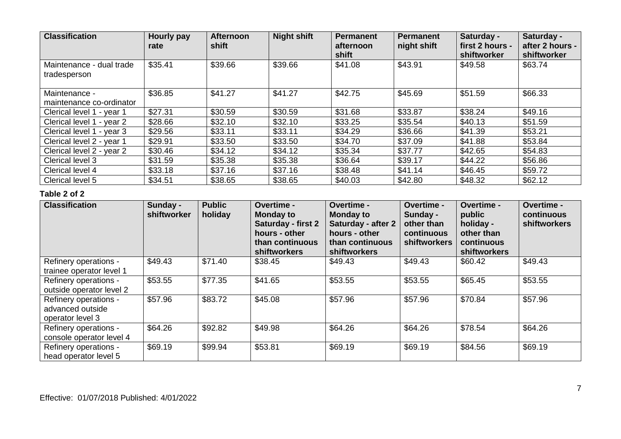| <b>Classification</b>                     | <b>Hourly pay</b><br>rate | <b>Afternoon</b><br>shift | <b>Night shift</b> | <b>Permanent</b><br>afternoon<br>shift | <b>Permanent</b><br>night shift | Saturday -<br>first 2 hours -<br>shiftworker | Saturday -<br>after 2 hours -<br>shiftworker |
|-------------------------------------------|---------------------------|---------------------------|--------------------|----------------------------------------|---------------------------------|----------------------------------------------|----------------------------------------------|
| Maintenance - dual trade<br>tradesperson  | \$35.41                   | \$39.66                   | \$39.66            | \$41.08                                | \$43.91                         | \$49.58                                      | \$63.74                                      |
| Maintenance -<br>maintenance co-ordinator | \$36.85                   | \$41.27                   | \$41.27            | \$42.75                                | \$45.69                         | \$51.59                                      | \$66.33                                      |
| Clerical level 1 - year 1                 | \$27.31                   | \$30.59                   | \$30.59            | \$31.68                                | \$33.87                         | \$38.24                                      | \$49.16                                      |
| Clerical level 1 - year 2                 | \$28.66                   | \$32.10                   | \$32.10            | \$33.25                                | \$35.54                         | \$40.13                                      | \$51.59                                      |
| Clerical level 1 - year 3                 | \$29.56                   | \$33.11                   | \$33.11            | \$34.29                                | \$36.66                         | \$41.39                                      | \$53.21                                      |
| Clerical level 2 - year 1                 | \$29.91                   | \$33.50                   | \$33.50            | \$34.70                                | \$37.09                         | \$41.88                                      | \$53.84                                      |
| Clerical level 2 - year 2                 | \$30.46                   | \$34.12                   | \$34.12            | \$35.34                                | \$37.77                         | \$42.65                                      | \$54.83                                      |
| Clerical level 3                          | \$31.59                   | \$35.38                   | \$35.38            | \$36.64                                | \$39.17                         | \$44.22                                      | \$56.86                                      |
| Clerical level 4                          | \$33.18                   | \$37.16                   | \$37.16            | \$38.48                                | \$41.14                         | \$46.45                                      | \$59.72                                      |
| Clerical level 5                          | \$34.51                   | \$38.65                   | \$38.65            | \$40.03                                | \$42.80                         | \$48.32                                      | \$62.12                                      |

| <b>Classification</b>                                         | Sunday -<br>shiftworker | <b>Public</b><br>holiday | <b>Overtime -</b><br><b>Monday to</b><br>Saturday - first 2<br>hours - other<br>than continuous<br>shiftworkers | Overtime -<br><b>Monday to</b><br><b>Saturday - after 2</b><br>hours - other<br>than continuous<br><b>shiftworkers</b> | Overtime -<br>Sunday -<br>other than<br>continuous<br>shiftworkers | Overtime -<br>public<br>holiday -<br>other than<br>continuous<br>shiftworkers | <b>Overtime -</b><br>continuous<br><b>shiftworkers</b> |
|---------------------------------------------------------------|-------------------------|--------------------------|-----------------------------------------------------------------------------------------------------------------|------------------------------------------------------------------------------------------------------------------------|--------------------------------------------------------------------|-------------------------------------------------------------------------------|--------------------------------------------------------|
| Refinery operations -<br>trainee operator level 1             | \$49.43                 | \$71.40                  | \$38.45                                                                                                         | \$49.43                                                                                                                | \$49.43                                                            | \$60.42                                                                       | \$49.43                                                |
| Refinery operations -<br>outside operator level 2             | \$53.55                 | \$77.35                  | \$41.65                                                                                                         | \$53.55                                                                                                                | \$53.55                                                            | \$65.45                                                                       | \$53.55                                                |
| Refinery operations -<br>advanced outside<br>operator level 3 | \$57.96                 | \$83.72                  | \$45.08                                                                                                         | \$57.96                                                                                                                | \$57.96                                                            | \$70.84                                                                       | \$57.96                                                |
| Refinery operations -<br>console operator level 4             | \$64.26                 | \$92.82                  | \$49.98                                                                                                         | \$64.26                                                                                                                | \$64.26                                                            | \$78.54                                                                       | \$64.26                                                |
| Refinery operations -<br>head operator level 5                | \$69.19                 | \$99.94                  | \$53.81                                                                                                         | \$69.19                                                                                                                | \$69.19                                                            | \$84.56                                                                       | \$69.19                                                |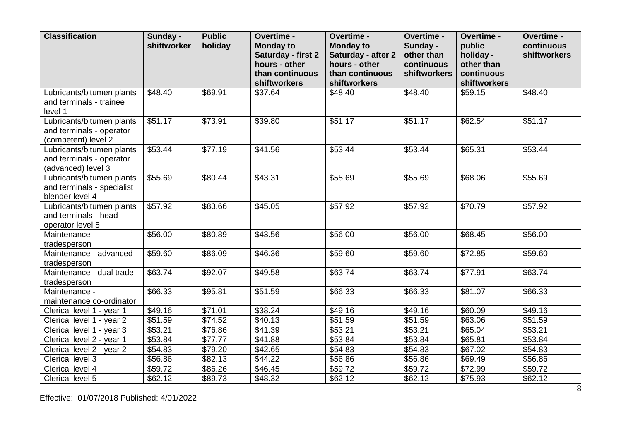| <b>Classification</b>                                                        | Sunday -<br>shiftworker | <b>Public</b><br>holiday | Overtime -<br><b>Monday to</b><br>Saturday - first 2<br>hours - other<br>than continuous | Overtime -<br><b>Monday to</b><br>Saturday - after 2<br>hours - other<br>than continuous | Overtime -<br>Sunday -<br>other than<br>continuous<br>shiftworkers | Overtime -<br>public<br>holiday -<br>other than<br>continuous | Overtime -<br>continuous<br>shiftworkers |
|------------------------------------------------------------------------------|-------------------------|--------------------------|------------------------------------------------------------------------------------------|------------------------------------------------------------------------------------------|--------------------------------------------------------------------|---------------------------------------------------------------|------------------------------------------|
|                                                                              |                         |                          | shiftworkers                                                                             | shiftworkers                                                                             |                                                                    | shiftworkers                                                  |                                          |
| Lubricants/bitumen plants<br>and terminals - trainee<br>level 1              | \$48.40                 | \$69.91                  | \$37.64                                                                                  | \$48.40                                                                                  | \$48.40                                                            | \$59.15                                                       | \$48.40                                  |
| Lubricants/bitumen plants<br>and terminals - operator<br>(competent) level 2 | \$51.17                 | \$73.91                  | \$39.80                                                                                  | \$51.17                                                                                  | \$51.17                                                            | \$62.54                                                       | \$51.17                                  |
| Lubricants/bitumen plants<br>and terminals - operator<br>(advanced) level 3  | \$53.44                 | \$77.19                  | \$41.56                                                                                  | \$53.44                                                                                  | \$53.44                                                            | \$65.31                                                       | \$53.44                                  |
| Lubricants/bitumen plants<br>and terminals - specialist<br>blender level 4   | \$55.69                 | \$80.44                  | \$43.31                                                                                  | \$55.69                                                                                  | \$55.69                                                            | \$68.06                                                       | \$55.69                                  |
| Lubricants/bitumen plants<br>and terminals - head<br>operator level 5        | \$57.92                 | \$83.66                  | \$45.05                                                                                  | \$57.92                                                                                  | \$57.92                                                            | \$70.79                                                       | $\overline{$}57.92$                      |
| Maintenance -<br>tradesperson                                                | \$56.00                 | \$80.89                  | \$43.56                                                                                  | \$56.00                                                                                  | \$56.00                                                            | \$68.45                                                       | \$56.00                                  |
| Maintenance - advanced<br>tradesperson                                       | \$59.60                 | \$86.09                  | \$46.36                                                                                  | \$59.60                                                                                  | \$59.60                                                            | \$72.85                                                       | \$59.60                                  |
| Maintenance - dual trade<br>tradesperson                                     | \$63.74                 | \$92.07                  | \$49.58                                                                                  | \$63.74                                                                                  | \$63.74                                                            | \$77.91                                                       | \$63.74                                  |
| Maintenance -<br>maintenance co-ordinator                                    | \$66.33                 | \$95.81                  | \$51.59                                                                                  | \$66.33                                                                                  | \$66.33                                                            | \$81.07                                                       | \$66.33                                  |
| Clerical level 1 - year 1                                                    | \$49.16                 | \$71.01                  | \$38.24                                                                                  | \$49.16                                                                                  | \$49.16                                                            | \$60.09                                                       | \$49.16                                  |
| Clerical level 1 - year 2                                                    | $\overline{$}51.59$     | \$74.52                  | \$40.13                                                                                  | \$51.59                                                                                  | \$51.59                                                            | \$63.06                                                       | \$51.59                                  |
| Clerical level 1 - year 3                                                    | \$53.21                 | \$76.86                  | \$41.39                                                                                  | \$53.21                                                                                  | \$53.21                                                            | \$65.04                                                       | \$53.21                                  |
| Clerical level 2 - year 1                                                    | \$53.84                 | \$77.77                  | \$41.88                                                                                  | \$53.84                                                                                  | \$53.84                                                            | \$65.81                                                       | \$53.84                                  |
| Clerical level 2 - year 2                                                    | \$54.83                 | \$79.20                  | \$42.65                                                                                  | \$54.83                                                                                  | \$54.83                                                            | \$67.02                                                       | \$54.83                                  |
| Clerical level 3                                                             | \$56.86                 | \$82.13                  | \$44.22                                                                                  | \$56.86                                                                                  | \$56.86                                                            | \$69.49                                                       | \$56.86                                  |
| Clerical level 4                                                             | \$59.72                 | \$86.26                  | \$46.45                                                                                  | \$59.72                                                                                  | \$59.72                                                            | \$72.99                                                       | \$59.72                                  |
| Clerical level 5                                                             | \$62.12                 | \$89.73                  | \$48.32                                                                                  | \$62.12                                                                                  | \$62.12                                                            | \$75.93                                                       | \$62.12                                  |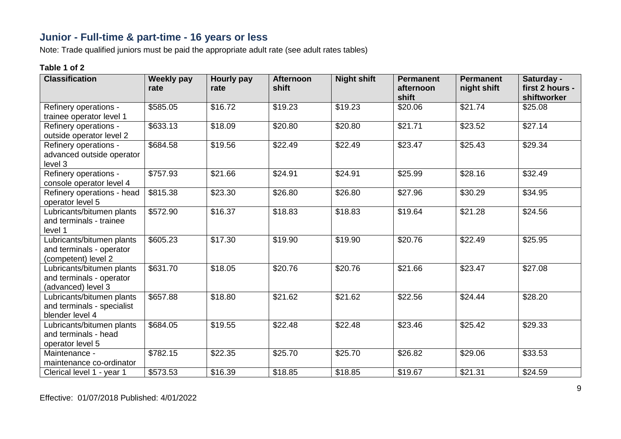## **Junior - Full-time & part-time - 16 years or less**

Note: Trade qualified juniors must be paid the appropriate adult rate (see adult rates tables)

| <b>Classification</b>                                                        | <b>Weekly pay</b><br>rate | Hourly pay<br>rate | <b>Afternoon</b><br>shift | <b>Night shift</b>  | <b>Permanent</b><br>afternoon<br>shift | <b>Permanent</b><br>night shift | Saturday -<br>first 2 hours -<br>shiftworker |
|------------------------------------------------------------------------------|---------------------------|--------------------|---------------------------|---------------------|----------------------------------------|---------------------------------|----------------------------------------------|
| Refinery operations -<br>trainee operator level 1                            | \$585.05                  | \$16.72            | \$19.23                   | $\overline{$}19.23$ | \$20.06                                | \$21.74                         | \$25.08                                      |
| Refinery operations -<br>outside operator level 2                            | \$633.13                  | \$18.09            | \$20.80                   | \$20.80             | \$21.71                                | \$23.52                         | \$27.14                                      |
| Refinery operations -<br>advanced outside operator<br>level 3                | \$684.58                  | \$19.56            | \$22.49                   | \$22.49             | \$23.47                                | \$25.43                         | \$29.34                                      |
| Refinery operations -<br>console operator level 4                            | \$757.93                  | \$21.66            | \$24.91                   | \$24.91             | \$25.99                                | \$28.16                         | \$32.49                                      |
| Refinery operations - head<br>operator level 5                               | \$815.38                  | \$23.30            | \$26.80                   | \$26.80             | \$27.96                                | \$30.29                         | \$34.95                                      |
| Lubricants/bitumen plants<br>and terminals - trainee<br>level 1              | \$572.90                  | \$16.37            | \$18.83                   | \$18.83             | \$19.64                                | \$21.28                         | \$24.56                                      |
| Lubricants/bitumen plants<br>and terminals - operator<br>(competent) level 2 | \$605.23                  | \$17.30            | \$19.90                   | \$19.90             | \$20.76                                | \$22.49                         | \$25.95                                      |
| Lubricants/bitumen plants<br>and terminals - operator<br>(advanced) level 3  | \$631.70                  | \$18.05            | \$20.76                   | \$20.76             | \$21.66                                | \$23.47                         | \$27.08                                      |
| Lubricants/bitumen plants<br>and terminals - specialist<br>blender level 4   | \$657.88                  | \$18.80            | \$21.62                   | \$21.62             | \$22.56                                | \$24.44                         | \$28.20                                      |
| Lubricants/bitumen plants<br>and terminals - head<br>operator level 5        | \$684.05                  | \$19.55            | \$22.48                   | \$22.48             | \$23.46                                | \$25.42                         | \$29.33                                      |
| Maintenance -<br>maintenance co-ordinator                                    | \$782.15                  | \$22.35            | \$25.70                   | \$25.70             | \$26.82                                | \$29.06                         | \$33.53                                      |
| Clerical level 1 - year 1                                                    | \$573.53                  | \$16.39            | \$18.85                   | \$18.85             | \$19.67                                | \$21.31                         | \$24.59                                      |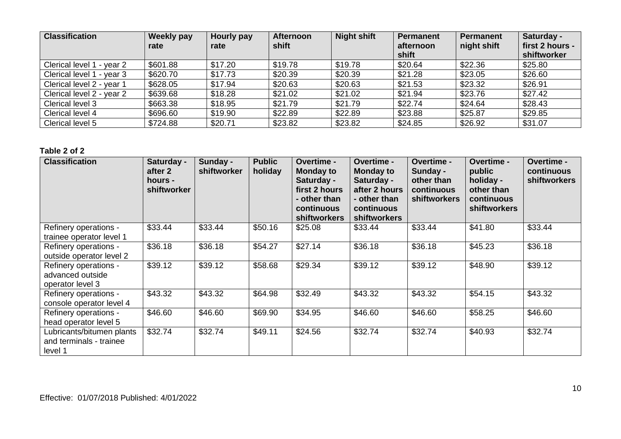| <b>Classification</b>          | Weekly pay<br>rate | Hourly pay<br>rate | <b>Afternoon</b><br>shift | <b>Night shift</b> | <b>Permanent</b><br>afternoon<br>shift | <b>Permanent</b><br>night shift | Saturday -<br>first 2 hours -<br>shiftworker |
|--------------------------------|--------------------|--------------------|---------------------------|--------------------|----------------------------------------|---------------------------------|----------------------------------------------|
| Clerical level 1<br>l - year 2 | \$601.88           | \$17.20            | \$19.78                   | \$19.78            | \$20.64                                | \$22.36                         | \$25.80                                      |
| Clerical level 1 - year 3      | \$620.70           | \$17.73            | \$20.39                   | \$20.39            | \$21.28                                | \$23.05                         | \$26.60                                      |
| Clerical level 2 - year 1      | \$628.05           | \$17.94            | \$20.63                   | \$20.63            | \$21.53                                | \$23.32                         | \$26.91                                      |
| Clerical level 2 - year 2      | \$639.68           | \$18.28            | \$21.02                   | \$21.02            | \$21.94                                | \$23.76                         | \$27.42                                      |
| Clerical level 3               | \$663.38           | \$18.95            | \$21.79                   | \$21.79            | \$22.74                                | \$24.64                         | \$28.43                                      |
| Clerical level 4               | \$696.60           | \$19.90            | \$22.89                   | \$22.89            | \$23.88                                | \$25.87                         | \$29.85                                      |
| Clerical level 5               | \$724.88           | \$20.71            | \$23.82                   | \$23.82            | \$24.85                                | \$26.92                         | \$31.07                                      |

| <b>Classification</b>                                           | Saturday -<br>after 2<br>hours -<br>shiftworker | Sunday -<br>shiftworker | <b>Public</b><br>holiday | Overtime -<br><b>Monday to</b><br>Saturday -<br>first 2 hours<br>- other than<br>continuous<br>shiftworkers | <b>Overtime -</b><br><b>Monday to</b><br>Saturday -<br>after 2 hours<br>- other than<br>continuous<br>shiftworkers | <b>Overtime -</b><br>Sunday -<br>other than<br>continuous<br>shiftworkers | <b>Overtime -</b><br>public<br>holiday -<br>other than<br>continuous<br><b>shiftworkers</b> | Overtime -<br>continuous<br><b>shiftworkers</b> |
|-----------------------------------------------------------------|-------------------------------------------------|-------------------------|--------------------------|-------------------------------------------------------------------------------------------------------------|--------------------------------------------------------------------------------------------------------------------|---------------------------------------------------------------------------|---------------------------------------------------------------------------------------------|-------------------------------------------------|
| Refinery operations -<br>trainee operator level 1               | \$33.44                                         | \$33.44                 | \$50.16                  | \$25.08                                                                                                     | \$33.44                                                                                                            | \$33.44                                                                   | \$41.80                                                                                     | \$33.44                                         |
| Refinery operations -<br>outside operator level 2               | \$36.18                                         | \$36.18                 | \$54.27                  | \$27.14                                                                                                     | \$36.18                                                                                                            | \$36.18                                                                   | \$45.23                                                                                     | \$36.18                                         |
| Refinery operations -<br>advanced outside<br>operator level 3   | \$39.12                                         | \$39.12                 | \$58.68                  | \$29.34                                                                                                     | \$39.12                                                                                                            | \$39.12                                                                   | \$48.90                                                                                     | \$39.12                                         |
| Refinery operations -<br>console operator level 4               | \$43.32                                         | \$43.32                 | \$64.98                  | \$32.49                                                                                                     | \$43.32                                                                                                            | \$43.32                                                                   | \$54.15                                                                                     | \$43.32                                         |
| Refinery operations -<br>head operator level 5                  | \$46.60                                         | \$46.60                 | \$69.90                  | \$34.95                                                                                                     | \$46.60                                                                                                            | \$46.60                                                                   | \$58.25                                                                                     | \$46.60                                         |
| Lubricants/bitumen plants<br>and terminals - trainee<br>level 1 | \$32.74                                         | \$32.74                 | \$49.11                  | \$24.56                                                                                                     | \$32.74                                                                                                            | \$32.74                                                                   | \$40.93                                                                                     | \$32.74                                         |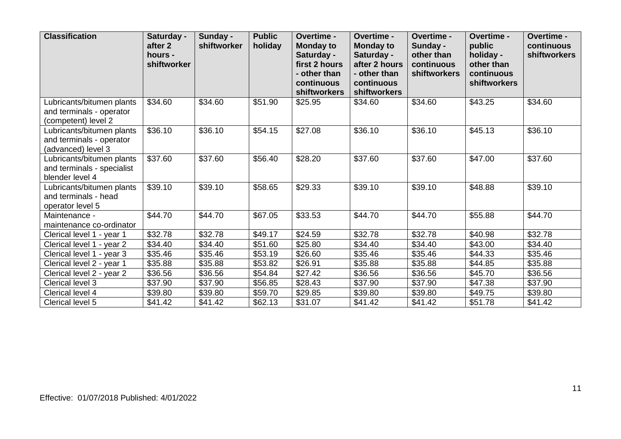| <b>Classification</b>                                                        | Saturday -<br>after 2<br>hours -<br>shiftworker | Sunday -<br>shiftworker | <b>Public</b><br>holiday | Overtime -<br><b>Monday to</b><br>Saturday -<br>first 2 hours<br>- other than<br>continuous<br>shiftworkers | Overtime -<br><b>Monday to</b><br>Saturday -<br>after 2 hours<br>- other than<br>continuous<br>shiftworkers | Overtime -<br>Sunday -<br>other than<br>continuous<br>shiftworkers | Overtime -<br>public<br>holiday -<br>other than<br>continuous<br><b>shiftworkers</b> | Overtime -<br>continuous<br>shiftworkers |
|------------------------------------------------------------------------------|-------------------------------------------------|-------------------------|--------------------------|-------------------------------------------------------------------------------------------------------------|-------------------------------------------------------------------------------------------------------------|--------------------------------------------------------------------|--------------------------------------------------------------------------------------|------------------------------------------|
| Lubricants/bitumen plants<br>and terminals - operator<br>(competent) level 2 | \$34.60                                         | \$34.60                 | \$51.90                  | \$25.95                                                                                                     | \$34.60                                                                                                     | \$34.60                                                            | \$43.25                                                                              | \$34.60                                  |
| Lubricants/bitumen plants<br>and terminals - operator<br>(advanced) level 3  | \$36.10                                         | \$36.10                 | \$54.15                  | \$27.08                                                                                                     | \$36.10                                                                                                     | \$36.10                                                            | \$45.13                                                                              | \$36.10                                  |
| Lubricants/bitumen plants<br>and terminals - specialist<br>blender level 4   | \$37.60                                         | \$37.60                 | \$56.40                  | \$28.20                                                                                                     | \$37.60                                                                                                     | \$37.60                                                            | \$47.00                                                                              | \$37.60                                  |
| Lubricants/bitumen plants<br>and terminals - head<br>operator level 5        | \$39.10                                         | \$39.10                 | \$58.65                  | \$29.33                                                                                                     | \$39.10                                                                                                     | \$39.10                                                            | \$48.88                                                                              | $\overline{$}39.10$                      |
| Maintenance -<br>maintenance co-ordinator                                    | \$44.70                                         | \$44.70                 | \$67.05                  | \$33.53                                                                                                     | \$44.70                                                                                                     | \$44.70                                                            | \$55.88                                                                              | \$44.70                                  |
| Clerical level 1 - year 1                                                    | \$32.78                                         | \$32.78                 | \$49.17                  | \$24.59                                                                                                     | \$32.78                                                                                                     | \$32.78                                                            | \$40.98                                                                              | \$32.78                                  |
| Clerical level 1 - year 2                                                    | \$34.40                                         | \$34.40                 | \$51.60                  | \$25.80                                                                                                     | \$34.40                                                                                                     | \$34.40                                                            | \$43.00                                                                              | \$34.40                                  |
| Clerical level 1 - year 3                                                    | \$35.46                                         | \$35.46                 | \$53.19                  | \$26.60                                                                                                     | \$35.46                                                                                                     | \$35.46                                                            | \$44.33                                                                              | \$35.46                                  |
| Clerical level 2 - year 1                                                    | \$35.88                                         | \$35.88                 | \$53.82                  | \$26.91                                                                                                     | \$35.88                                                                                                     | \$35.88                                                            | \$44.85                                                                              | \$35.88                                  |
| Clerical level 2 - year 2                                                    | \$36.56                                         | \$36.56                 | \$54.84                  | \$27.42                                                                                                     | \$36.56                                                                                                     | \$36.56                                                            | \$45.70                                                                              | \$36.56                                  |
| Clerical level 3                                                             | \$37.90                                         | \$37.90                 | \$56.85                  | \$28.43                                                                                                     | \$37.90                                                                                                     | \$37.90                                                            | \$47.38                                                                              | \$37.90                                  |
| Clerical level 4                                                             | \$39.80                                         | \$39.80                 | \$59.70                  | \$29.85                                                                                                     | \$39.80                                                                                                     | \$39.80                                                            | \$49.75                                                                              | \$39.80                                  |
| Clerical level 5                                                             | \$41.42                                         | \$41.42                 | \$62.13                  | \$31.07                                                                                                     | \$41.42                                                                                                     | \$41.42                                                            | \$51.78                                                                              | \$41.42                                  |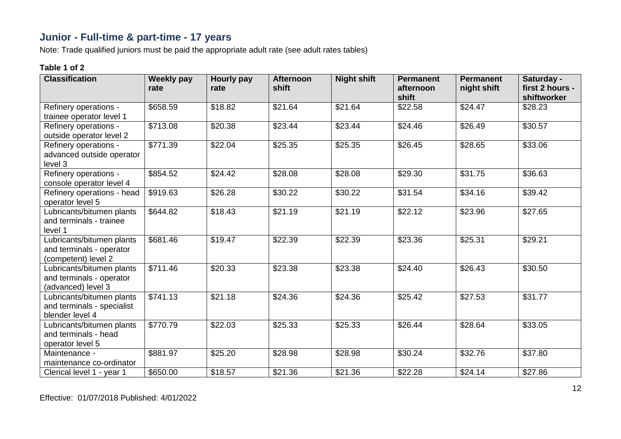# **Junior - Full-time & part-time - 17 years**

Note: Trade qualified juniors must be paid the appropriate adult rate (see adult rates tables)

| <b>Classification</b>                                                        | <b>Weekly pay</b><br>rate | Hourly pay<br>rate | <b>Afternoon</b><br>shift | <b>Night shift</b> | <b>Permanent</b><br>afternoon<br>shift | <b>Permanent</b><br>night shift | Saturday -<br>first 2 hours -<br>shiftworker |
|------------------------------------------------------------------------------|---------------------------|--------------------|---------------------------|--------------------|----------------------------------------|---------------------------------|----------------------------------------------|
| Refinery operations -<br>trainee operator level 1                            | \$658.59                  | \$18.82            | \$21.64                   | \$21.64            | \$22.58                                | \$24.47                         | \$28.23                                      |
| Refinery operations -<br>outside operator level 2                            | \$713.08                  | \$20.38            | \$23.44                   | \$23.44            | \$24.46                                | \$26.49                         | \$30.57                                      |
| Refinery operations -<br>advanced outside operator<br>level 3                | \$771.39                  | \$22.04            | \$25.35                   | \$25.35            | \$26.45                                | \$28.65                         | \$33.06                                      |
| Refinery operations -<br>console operator level 4                            | \$854.52                  | \$24.42            | \$28.08                   | \$28.08            | \$29.30                                | \$31.75                         | \$36.63                                      |
| Refinery operations - head<br>operator level 5                               | \$919.63                  | \$26.28            | \$30.22                   | \$30.22            | \$31.54                                | \$34.16                         | \$39.42                                      |
| Lubricants/bitumen plants<br>and terminals - trainee<br>level 1              | \$644.82                  | \$18.43            | \$21.19                   | \$21.19            | \$22.12                                | \$23.96                         | \$27.65                                      |
| Lubricants/bitumen plants<br>and terminals - operator<br>(competent) level 2 | \$681.46                  | \$19.47            | \$22.39                   | \$22.39            | \$23.36                                | \$25.31                         | \$29.21                                      |
| Lubricants/bitumen plants<br>and terminals - operator<br>(advanced) level 3  | \$711.46                  | \$20.33            | \$23.38                   | \$23.38            | \$24.40                                | \$26.43                         | \$30.50                                      |
| Lubricants/bitumen plants<br>and terminals - specialist<br>blender level 4   | $\sqrt{$741.13}$          | \$21.18            | \$24.36                   | \$24.36            | \$25.42                                | \$27.53                         | \$31.77                                      |
| Lubricants/bitumen plants<br>and terminals - head<br>operator level 5        | \$770.79                  | \$22.03            | \$25.33                   | \$25.33            | \$26.44                                | \$28.64                         | \$33.05                                      |
| Maintenance -<br>maintenance co-ordinator                                    | \$881.97                  | \$25.20            | \$28.98                   | \$28.98            | \$30.24                                | \$32.76                         | \$37.80                                      |
| Clerical level 1 - year 1                                                    | \$650.00                  | \$18.57            | \$21.36                   | \$21.36            | \$22.28                                | \$24.14                         | \$27.86                                      |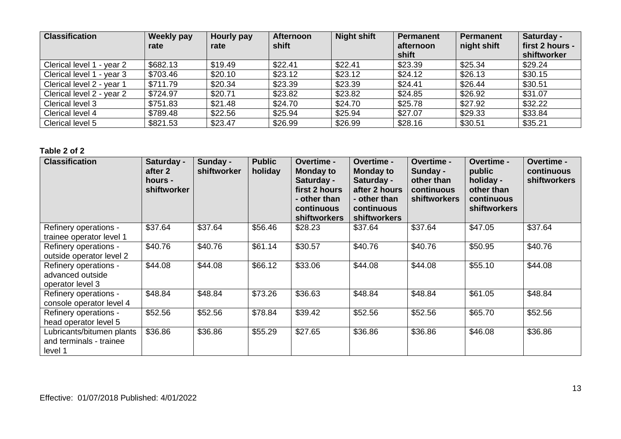| <b>Classification</b>          | Weekly pay<br>rate | Hourly pay<br>rate | <b>Afternoon</b><br>shift | <b>Night shift</b> | <b>Permanent</b><br>afternoon<br>shift | <b>Permanent</b><br>night shift | Saturday -<br>first 2 hours -<br>shiftworker |
|--------------------------------|--------------------|--------------------|---------------------------|--------------------|----------------------------------------|---------------------------------|----------------------------------------------|
| Clerical level 1<br>I - vear 2 | \$682.13           | \$19.49            | \$22.41                   | \$22.41            | \$23.39                                | \$25.34                         | \$29.24                                      |
| Clerical level 1 - year 3      | \$703.46           | \$20.10            | \$23.12                   | \$23.12            | \$24.12                                | \$26.13                         | \$30.15                                      |
| Clerical level 2 - year 1      | \$711.79           | \$20.34            | \$23.39                   | \$23.39            | \$24.41                                | \$26.44                         | \$30.51                                      |
| Clerical level 2 - year 2      | \$724.97           | \$20.71            | \$23.82                   | \$23.82            | \$24.85                                | \$26.92                         | \$31.07                                      |
| Clerical level 3               | \$751.83           | \$21.48            | \$24.70                   | \$24.70            | \$25.78                                | \$27.92                         | \$32.22                                      |
| Clerical level 4               | \$789.48           | \$22.56            | \$25.94                   | \$25.94            | \$27.07                                | \$29.33                         | \$33.84                                      |
| Clerical level 5               | \$821.53           | \$23.47            | \$26.99                   | \$26.99            | \$28.16                                | \$30.51                         | \$35.21                                      |

| <b>Classification</b>                                           | Saturday -<br>after 2<br>hours -<br>shiftworker | Sunday -<br>shiftworker | <b>Public</b><br>holiday | <b>Overtime -</b><br><b>Monday to</b><br>Saturday -<br>first 2 hours<br>- other than<br>continuous<br>shiftworkers | Overtime -<br><b>Monday to</b><br>Saturday -<br>after 2 hours<br>- other than<br>continuous<br><b>shiftworkers</b> | <b>Overtime -</b><br>Sunday -<br>other than<br>continuous<br>shiftworkers | Overtime -<br>public<br>holiday -<br>other than<br>continuous<br>shiftworkers | <b>Overtime -</b><br>continuous<br>shiftworkers |
|-----------------------------------------------------------------|-------------------------------------------------|-------------------------|--------------------------|--------------------------------------------------------------------------------------------------------------------|--------------------------------------------------------------------------------------------------------------------|---------------------------------------------------------------------------|-------------------------------------------------------------------------------|-------------------------------------------------|
| Refinery operations -<br>trainee operator level 1               | \$37.64                                         | \$37.64                 | \$56.46                  | \$28.23                                                                                                            | \$37.64                                                                                                            | \$37.64                                                                   | \$47.05                                                                       | \$37.64                                         |
| Refinery operations -<br>outside operator level 2               | \$40.76                                         | \$40.76                 | \$61.14                  | \$30.57                                                                                                            | \$40.76                                                                                                            | \$40.76                                                                   | \$50.95                                                                       | \$40.76                                         |
| Refinery operations -<br>advanced outside<br>operator level 3   | \$44.08                                         | \$44.08                 | \$66.12                  | \$33.06                                                                                                            | \$44.08                                                                                                            | \$44.08                                                                   | \$55.10                                                                       | \$44.08                                         |
| Refinery operations -<br>console operator level 4               | \$48.84                                         | \$48.84                 | \$73.26                  | \$36.63                                                                                                            | \$48.84                                                                                                            | \$48.84                                                                   | \$61.05                                                                       | \$48.84                                         |
| Refinery operations -<br>head operator level 5                  | \$52.56                                         | \$52.56                 | \$78.84                  | \$39.42                                                                                                            | \$52.56                                                                                                            | \$52.56                                                                   | \$65.70                                                                       | \$52.56                                         |
| Lubricants/bitumen plants<br>and terminals - trainee<br>level 1 | \$36.86                                         | \$36.86                 | \$55.29                  | \$27.65                                                                                                            | \$36.86                                                                                                            | \$36.86                                                                   | \$46.08                                                                       | \$36.86                                         |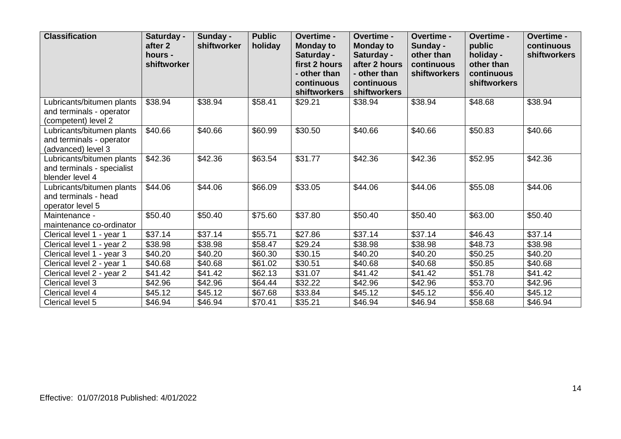| <b>Classification</b>                                                        | Saturday -<br>after <sub>2</sub><br>hours -<br>shiftworker | Sunday -<br>shiftworker | <b>Public</b><br>holiday | Overtime -<br><b>Monday to</b><br>Saturday -<br>first 2 hours<br>- other than<br>continuous<br>shiftworkers | Overtime -<br><b>Monday to</b><br>Saturday -<br>after 2 hours<br>- other than<br>continuous<br>shiftworkers | Overtime -<br>Sunday -<br>other than<br>continuous<br>shiftworkers | Overtime -<br>public<br>holiday -<br>other than<br>continuous<br>shiftworkers | Overtime -<br>continuous<br>shiftworkers |
|------------------------------------------------------------------------------|------------------------------------------------------------|-------------------------|--------------------------|-------------------------------------------------------------------------------------------------------------|-------------------------------------------------------------------------------------------------------------|--------------------------------------------------------------------|-------------------------------------------------------------------------------|------------------------------------------|
| Lubricants/bitumen plants<br>and terminals - operator<br>(competent) level 2 | \$38.94                                                    | \$38.94                 | \$58.41                  | \$29.21                                                                                                     | \$38.94                                                                                                     | \$38.94                                                            | \$48.68                                                                       | \$38.94                                  |
| Lubricants/bitumen plants<br>and terminals - operator<br>(advanced) level 3  | \$40.66                                                    | \$40.66                 | \$60.99                  | \$30.50                                                                                                     | \$40.66                                                                                                     | \$40.66                                                            | \$50.83                                                                       | \$40.66                                  |
| Lubricants/bitumen plants<br>and terminals - specialist<br>blender level 4   | \$42.36                                                    | \$42.36                 | \$63.54                  | \$31.77                                                                                                     | \$42.36                                                                                                     | \$42.36                                                            | \$52.95                                                                       | \$42.36                                  |
| Lubricants/bitumen plants<br>and terminals - head<br>operator level 5        | \$44.06                                                    | \$44.06                 | \$66.09                  | \$33.05                                                                                                     | \$44.06                                                                                                     | \$44.06                                                            | \$55.08                                                                       | \$44.06                                  |
| Maintenance -<br>maintenance co-ordinator                                    | \$50.40                                                    | \$50.40                 | \$75.60                  | \$37.80                                                                                                     | \$50.40                                                                                                     | \$50.40                                                            | \$63.00                                                                       | \$50.40                                  |
| Clerical level 1 - year 1                                                    | \$37.14                                                    | \$37.14                 | \$55.71                  | \$27.86                                                                                                     | \$37.14                                                                                                     | \$37.14                                                            | \$46.43                                                                       | \$37.14                                  |
| Clerical level 1 - year 2                                                    | \$38.98                                                    | \$38.98                 | \$58.47                  | \$29.24                                                                                                     | \$38.98                                                                                                     | \$38.98                                                            | \$48.73                                                                       | \$38.98                                  |
| Clerical level 1 - year 3                                                    | \$40.20                                                    | \$40.20                 | \$60.30                  | \$30.15                                                                                                     | \$40.20                                                                                                     | \$40.20                                                            | \$50.25                                                                       | \$40.20                                  |
| Clerical level 2 - year 1                                                    | \$40.68                                                    | \$40.68                 | \$61.02                  | \$30.51                                                                                                     | \$40.68                                                                                                     | \$40.68                                                            | \$50.85                                                                       | \$40.68                                  |
| Clerical level 2 - year 2                                                    | \$41.42                                                    | \$41.42                 | \$62.13                  | $\overline{$}31.07$                                                                                         | \$41.42                                                                                                     | \$41.42                                                            | \$51.78                                                                       | \$41.42                                  |
| Clerical level 3                                                             | \$42.96                                                    | \$42.96                 | \$64.44                  | \$32.22                                                                                                     | \$42.96                                                                                                     | \$42.96                                                            | \$53.70                                                                       | \$42.96                                  |
| Clerical level 4                                                             | \$45.12                                                    | \$45.12                 | \$67.68                  | \$33.84                                                                                                     | \$45.12                                                                                                     | \$45.12                                                            | \$56.40                                                                       | \$45.12                                  |
| Clerical level 5                                                             | \$46.94                                                    | \$46.94                 | \$70.41                  | \$35.21                                                                                                     | \$46.94                                                                                                     | \$46.94                                                            | \$58.68                                                                       | \$46.94                                  |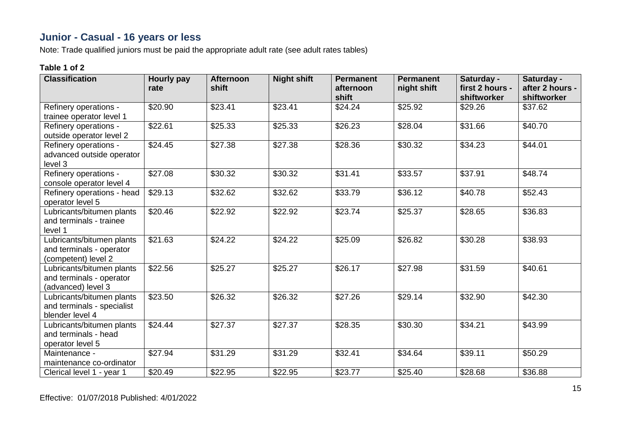## **Junior - Casual - 16 years or less**

Note: Trade qualified juniors must be paid the appropriate adult rate (see adult rates tables)

| <b>Classification</b>                                                        | Hourly pay<br>rate | <b>Afternoon</b><br>shift | <b>Night shift</b> | <b>Permanent</b><br>afternoon<br>shift | <b>Permanent</b><br>night shift | Saturday -<br>first 2 hours -<br>shiftworker | Saturday -<br>after 2 hours -<br>shiftworker |
|------------------------------------------------------------------------------|--------------------|---------------------------|--------------------|----------------------------------------|---------------------------------|----------------------------------------------|----------------------------------------------|
| Refinery operations -<br>trainee operator level 1                            | \$20.90            | \$23.41                   | \$23.41            | \$24.24                                | \$25.92                         | \$29.26                                      | \$37.62                                      |
| Refinery operations -<br>outside operator level 2                            | \$22.61            | \$25.33                   | \$25.33            | \$26.23                                | $\overline{$}28.04$             | \$31.66                                      | \$40.70                                      |
| Refinery operations -<br>advanced outside operator<br>level 3                | \$24.45            | \$27.38                   | \$27.38            | \$28.36                                | \$30.32                         | \$34.23                                      | \$44.01                                      |
| Refinery operations -<br>console operator level 4                            | \$27.08            | \$30.32                   | \$30.32            | \$31.41                                | \$33.57                         | \$37.91                                      | \$48.74                                      |
| Refinery operations - head<br>operator level 5                               | \$29.13            | \$32.62                   | \$32.62            | \$33.79                                | \$36.12                         | \$40.78                                      | \$52.43                                      |
| Lubricants/bitumen plants<br>and terminals - trainee<br>level 1              | \$20.46            | \$22.92                   | \$22.92            | \$23.74                                | $\overline{$}25.37$             | \$28.65                                      | \$36.83                                      |
| Lubricants/bitumen plants<br>and terminals - operator<br>(competent) level 2 | \$21.63            | \$24.22                   | \$24.22            | \$25.09                                | \$26.82                         | \$30.28                                      | \$38.93                                      |
| Lubricants/bitumen plants<br>and terminals - operator<br>(advanced) level 3  | \$22.56            | \$25.27                   | \$25.27            | \$26.17                                | \$27.98                         | \$31.59                                      | \$40.61                                      |
| Lubricants/bitumen plants<br>and terminals - specialist<br>blender level 4   | \$23.50            | \$26.32                   | \$26.32            | \$27.26                                | $\overline{$}29.14$             | \$32.90                                      | \$42.30                                      |
| Lubricants/bitumen plants<br>and terminals - head<br>operator level 5        | \$24.44            | \$27.37                   | \$27.37            | \$28.35                                | \$30.30                         | \$34.21                                      | \$43.99                                      |
| Maintenance -<br>maintenance co-ordinator                                    | \$27.94            | \$31.29                   | \$31.29            | \$32.41                                | \$34.64                         | \$39.11                                      | \$50.29                                      |
| Clerical level 1 - year 1                                                    | \$20.49            | \$22.95                   | \$22.95            | \$23.77                                | \$25.40                         | \$28.68                                      | \$36.88                                      |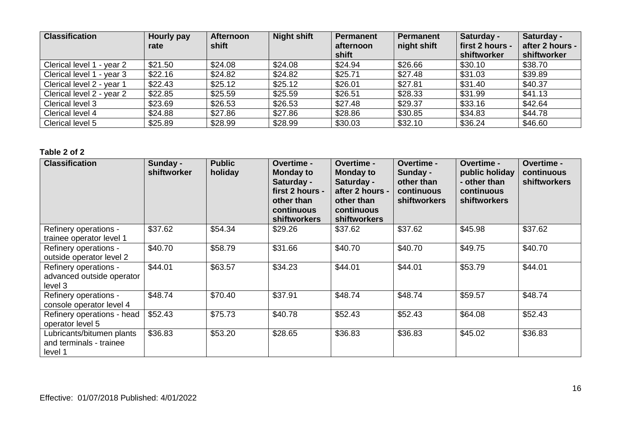| <b>Classification</b>     | Hourly pay<br>rate | <b>Afternoon</b><br>shift | <b>Night shift</b> | Permanent<br>afternoon<br>shift | <b>Permanent</b><br>night shift | Saturday -<br>first 2 hours -<br>shiftworker | Saturday -<br>after 2 hours -<br>shiftworker |
|---------------------------|--------------------|---------------------------|--------------------|---------------------------------|---------------------------------|----------------------------------------------|----------------------------------------------|
| Clerical level 1 - year 2 | \$21.50            | \$24.08                   | \$24.08            | \$24.94                         | \$26.66                         | \$30.10                                      | \$38.70                                      |
| Clerical level 1 - year 3 | \$22.16            | \$24.82                   | \$24.82            | \$25.71                         | \$27.48                         | \$31.03                                      | \$39.89                                      |
| Clerical level 2 - year 1 | \$22.43            | \$25.12                   | \$25.12            | \$26.01                         | \$27.81                         | \$31.40                                      | \$40.37                                      |
| Clerical level 2 - year 2 | \$22.85            | \$25.59                   | \$25.59            | \$26.51                         | \$28.33                         | \$31.99                                      | \$41.13                                      |
| Clerical level 3          | \$23.69            | \$26.53                   | \$26.53            | \$27.48                         | \$29.37                         | \$33.16                                      | \$42.64                                      |
| Clerical level 4          | \$24.88            | \$27.86                   | \$27.86            | \$28.86                         | \$30.85                         | \$34.83                                      | \$44.78                                      |
| Clerical level 5          | \$25.89            | \$28.99                   | \$28.99            | \$30.03                         | \$32.10                         | \$36.24                                      | \$46.60                                      |

| <b>Classification</b>                                           | Sunday -<br>shiftworker | <b>Public</b><br>holiday | Overtime -<br><b>Monday to</b><br>Saturday -<br>first 2 hours -<br>other than<br>continuous<br><b>shiftworkers</b> | Overtime -<br><b>Monday to</b><br>Saturday -<br>after 2 hours -<br>other than<br>continuous<br><b>shiftworkers</b> | Overtime -<br>Sunday -<br>other than<br>continuous<br><b>shiftworkers</b> | Overtime -<br>public holiday<br>- other than<br>continuous<br><b>shiftworkers</b> | Overtime -<br>continuous<br><b>shiftworkers</b> |
|-----------------------------------------------------------------|-------------------------|--------------------------|--------------------------------------------------------------------------------------------------------------------|--------------------------------------------------------------------------------------------------------------------|---------------------------------------------------------------------------|-----------------------------------------------------------------------------------|-------------------------------------------------|
| Refinery operations -<br>trainee operator level 1               | \$37.62                 | \$54.34                  | \$29.26                                                                                                            | \$37.62                                                                                                            | \$37.62                                                                   | \$45.98                                                                           | \$37.62                                         |
| Refinery operations -<br>outside operator level 2               | \$40.70                 | \$58.79                  | \$31.66                                                                                                            | \$40.70                                                                                                            | \$40.70                                                                   | \$49.75                                                                           | \$40.70                                         |
| Refinery operations -<br>advanced outside operator<br>level 3   | \$44.01                 | \$63.57                  | \$34.23                                                                                                            | \$44.01                                                                                                            | \$44.01                                                                   | \$53.79                                                                           | \$44.01                                         |
| Refinery operations -<br>console operator level 4               | \$48.74                 | \$70.40                  | \$37.91                                                                                                            | \$48.74                                                                                                            | \$48.74                                                                   | \$59.57                                                                           | \$48.74                                         |
| Refinery operations - head<br>operator level 5                  | \$52.43                 | \$75.73                  | \$40.78                                                                                                            | \$52.43                                                                                                            | \$52.43                                                                   | \$64.08                                                                           | \$52.43                                         |
| Lubricants/bitumen plants<br>and terminals - trainee<br>level 1 | \$36.83                 | \$53.20                  | \$28.65                                                                                                            | \$36.83                                                                                                            | \$36.83                                                                   | \$45.02                                                                           | \$36.83                                         |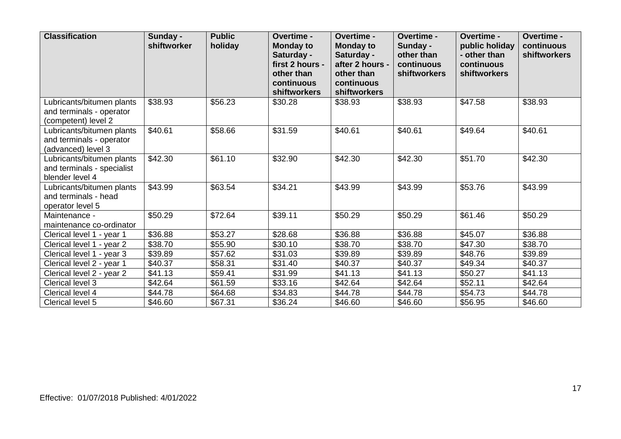| <b>Classification</b>                                                        | Sunday -<br>shiftworker | <b>Public</b><br>holiday | Overtime -<br><b>Monday to</b><br>Saturday -<br>first 2 hours -<br>other than<br>continuous<br>shiftworkers | Overtime -<br><b>Monday to</b><br>Saturday -<br>after 2 hours -<br>other than<br>continuous<br>shiftworkers | Overtime -<br>Sunday -<br>other than<br>continuous<br><b>shiftworkers</b> | Overtime -<br>public holiday<br>- other than<br>continuous<br>shiftworkers | Overtime -<br>continuous<br>shiftworkers |
|------------------------------------------------------------------------------|-------------------------|--------------------------|-------------------------------------------------------------------------------------------------------------|-------------------------------------------------------------------------------------------------------------|---------------------------------------------------------------------------|----------------------------------------------------------------------------|------------------------------------------|
| Lubricants/bitumen plants<br>and terminals - operator<br>(competent) level 2 | \$38.93                 | \$56.23                  | \$30.28                                                                                                     | \$38.93                                                                                                     | \$38.93                                                                   | \$47.58                                                                    | \$38.93                                  |
| Lubricants/bitumen plants<br>and terminals - operator<br>(advanced) level 3  | \$40.61                 | \$58.66                  | \$31.59                                                                                                     | \$40.61                                                                                                     | \$40.61                                                                   | \$49.64                                                                    | \$40.61                                  |
| Lubricants/bitumen plants<br>and terminals - specialist<br>blender level 4   | \$42.30                 | \$61.10                  | \$32.90                                                                                                     | \$42.30                                                                                                     | \$42.30                                                                   | \$51.70                                                                    | \$42.30                                  |
| Lubricants/bitumen plants<br>and terminals - head<br>operator level 5        | \$43.99                 | \$63.54                  | \$34.21                                                                                                     | \$43.99                                                                                                     | \$43.99                                                                   | \$53.76                                                                    | \$43.99                                  |
| Maintenance -<br>maintenance co-ordinator                                    | \$50.29                 | \$72.64                  | \$39.11                                                                                                     | \$50.29                                                                                                     | \$50.29                                                                   | \$61.46                                                                    | \$50.29                                  |
| Clerical level 1 - year 1                                                    | \$36.88                 | \$53.27                  | \$28.68                                                                                                     | \$36.88                                                                                                     | \$36.88                                                                   | \$45.07                                                                    | \$36.88                                  |
| Clerical level 1 - year 2                                                    | \$38.70                 | \$55.90                  | \$30.10                                                                                                     | \$38.70                                                                                                     | \$38.70                                                                   | \$47.30                                                                    | \$38.70                                  |
| Clerical level 1 - year 3                                                    | \$39.89                 | \$57.62                  | \$31.03                                                                                                     | \$39.89                                                                                                     | \$39.89                                                                   | \$48.76                                                                    | \$39.89                                  |
| Clerical level 2 - year 1                                                    | \$40.37                 | \$58.31                  | \$31.40                                                                                                     | \$40.37                                                                                                     | \$40.37                                                                   | \$49.34                                                                    | \$40.37                                  |
| Clerical level 2 - year 2                                                    | \$41.13                 | \$59.41                  | \$31.99                                                                                                     | \$41.13                                                                                                     | \$41.13                                                                   | \$50.27                                                                    | \$41.13                                  |
| Clerical level 3                                                             | \$42.64                 | \$61.59                  | \$33.16                                                                                                     | \$42.64                                                                                                     | \$42.64                                                                   | \$52.11                                                                    | \$42.64                                  |
| Clerical level 4                                                             | \$44.78                 | \$64.68                  | \$34.83                                                                                                     | \$44.78                                                                                                     | \$44.78                                                                   | \$54.73                                                                    | \$44.78                                  |
| Clerical level 5                                                             | \$46.60                 | \$67.31                  | \$36.24                                                                                                     | \$46.60                                                                                                     | \$46.60                                                                   | \$56.95                                                                    | \$46.60                                  |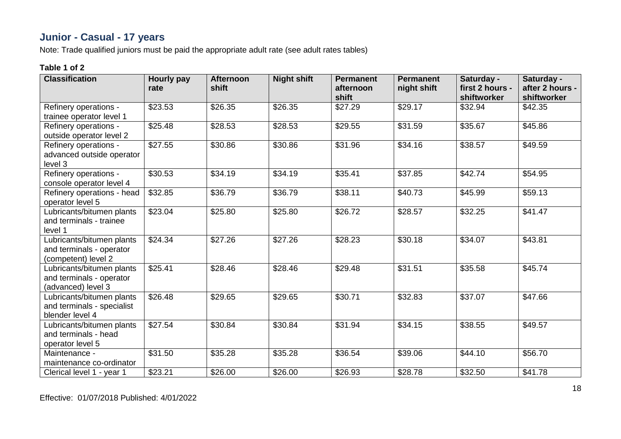# **Junior - Casual - 17 years**

Note: Trade qualified juniors must be paid the appropriate adult rate (see adult rates tables)

| <b>Classification</b>                                                        | <b>Hourly pay</b><br>rate | <b>Afternoon</b><br>shift | <b>Night shift</b> | <b>Permanent</b><br>afternoon<br>shift | <b>Permanent</b><br>night shift | Saturday -<br>first 2 hours -<br>shiftworker | Saturday -<br>after 2 hours -<br>shiftworker |
|------------------------------------------------------------------------------|---------------------------|---------------------------|--------------------|----------------------------------------|---------------------------------|----------------------------------------------|----------------------------------------------|
| Refinery operations -<br>trainee operator level 1                            | \$23.53                   | \$26.35                   | \$26.35            | \$27.29                                | \$29.17                         | \$32.94                                      | \$42.35                                      |
| Refinery operations -<br>outside operator level 2                            | \$25.48                   | \$28.53                   | \$28.53            | \$29.55                                | \$31.59                         | \$35.67                                      | \$45.86                                      |
| Refinery operations -<br>advanced outside operator<br>level 3                | \$27.55                   | \$30.86                   | \$30.86            | \$31.96                                | \$34.16                         | \$38.57                                      | \$49.59                                      |
| Refinery operations -<br>console operator level 4                            | \$30.53                   | \$34.19                   | \$34.19            | \$35.41                                | \$37.85                         | \$42.74                                      | \$54.95                                      |
| Refinery operations - head<br>operator level 5                               | \$32.85                   | \$36.79                   | \$36.79            | \$38.11                                | \$40.73                         | \$45.99                                      | \$59.13                                      |
| Lubricants/bitumen plants<br>and terminals - trainee<br>level 1              | \$23.04                   | \$25.80                   | \$25.80            | \$26.72                                | \$28.57                         | \$32.25                                      | \$41.47                                      |
| Lubricants/bitumen plants<br>and terminals - operator<br>(competent) level 2 | \$24.34                   | \$27.26                   | \$27.26            | \$28.23                                | \$30.18                         | \$34.07                                      | \$43.81                                      |
| Lubricants/bitumen plants<br>and terminals - operator<br>(advanced) level 3  | \$25.41                   | \$28.46                   | \$28.46            | \$29.48                                | $\overline{$}31.51$             | \$35.58                                      | \$45.74                                      |
| Lubricants/bitumen plants<br>and terminals - specialist<br>blender level 4   | \$26.48                   | \$29.65                   | \$29.65            | \$30.71                                | \$32.83                         | \$37.07                                      | \$47.66                                      |
| Lubricants/bitumen plants<br>and terminals - head<br>operator level 5        | \$27.54                   | \$30.84                   | \$30.84            | \$31.94                                | $\overline{$}34.15$             | \$38.55                                      | \$49.57                                      |
| Maintenance -<br>maintenance co-ordinator                                    | \$31.50                   | \$35.28                   | \$35.28            | \$36.54                                | \$39.06                         | \$44.10                                      | \$56.70                                      |
| Clerical level 1 - year 1                                                    | \$23.21                   | \$26.00                   | \$26.00            | \$26.93                                | \$28.78                         | \$32.50                                      | \$41.78                                      |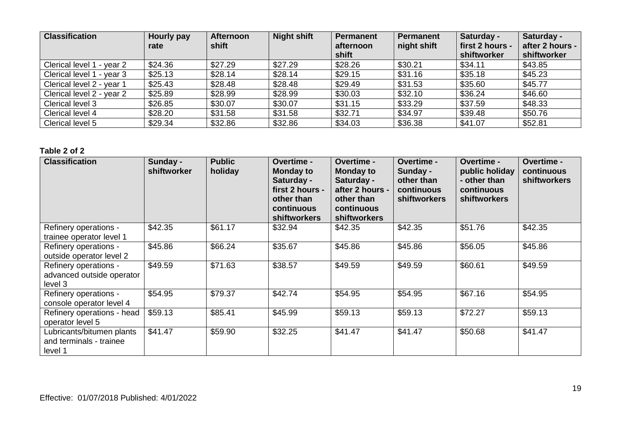| <b>Classification</b>          | Hourly pay<br>rate | <b>Afternoon</b><br>shift | <b>Night shift</b> | <b>Permanent</b><br>afternoon<br>shift | <b>Permanent</b><br>night shift | Saturday -<br>first 2 hours -<br>shiftworker | Saturday -<br>after 2 hours -<br>shiftworker |
|--------------------------------|--------------------|---------------------------|--------------------|----------------------------------------|---------------------------------|----------------------------------------------|----------------------------------------------|
| Clerical level 1<br>l - year 2 | \$24.36            | \$27.29                   | \$27.29            | \$28.26                                | \$30.21                         | \$34.11                                      | \$43.85                                      |
| Clerical level 1 - year 3      | \$25.13            | \$28.14                   | \$28.14            | \$29.15                                | \$31.16                         | \$35.18                                      | \$45.23                                      |
| Clerical level 2 - year 1      | \$25.43            | \$28.48                   | \$28.48            | \$29.49                                | \$31.53                         | \$35.60                                      | \$45.77                                      |
| Clerical level 2 - year 2      | \$25.89            | \$28.99                   | \$28.99            | \$30.03                                | \$32.10                         | \$36.24                                      | \$46.60                                      |
| Clerical level 3               | \$26.85            | \$30.07                   | \$30.07            | \$31.15                                | \$33.29                         | \$37.59                                      | \$48.33                                      |
| Clerical level 4               | \$28.20            | \$31.58                   | \$31.58            | \$32.71                                | \$34.97                         | \$39.48                                      | \$50.76                                      |
| Clerical level 5               | \$29.34            | \$32.86                   | \$32.86            | \$34.03                                | \$36.38                         | \$41.07                                      | \$52.81                                      |

| <b>Classification</b>                                           | Sunday -<br>shiftworker | <b>Public</b><br>holiday | <b>Overtime -</b><br><b>Monday to</b><br>Saturday -<br>first 2 hours -<br>other than<br>continuous<br><b>shiftworkers</b> | <b>Overtime -</b><br><b>Monday to</b><br>Saturday -<br>after 2 hours -<br>other than<br>continuous<br><b>shiftworkers</b> | <b>Overtime -</b><br>Sunday -<br>other than<br>continuous<br><b>shiftworkers</b> | <b>Overtime -</b><br>public holiday<br>- other than<br>continuous<br><b>shiftworkers</b> | <b>Overtime -</b><br>continuous<br><b>shiftworkers</b> |
|-----------------------------------------------------------------|-------------------------|--------------------------|---------------------------------------------------------------------------------------------------------------------------|---------------------------------------------------------------------------------------------------------------------------|----------------------------------------------------------------------------------|------------------------------------------------------------------------------------------|--------------------------------------------------------|
| Refinery operations -<br>trainee operator level 1               | \$42.35                 | \$61.17                  | \$32.94                                                                                                                   | \$42.35                                                                                                                   | \$42.35                                                                          | \$51.76                                                                                  | \$42.35                                                |
| Refinery operations -<br>outside operator level 2               | \$45.86                 | \$66.24                  | \$35.67                                                                                                                   | \$45.86                                                                                                                   | \$45.86                                                                          | \$56.05                                                                                  | \$45.86                                                |
| Refinery operations -<br>advanced outside operator<br>level 3   | \$49.59                 | \$71.63                  | \$38.57                                                                                                                   | \$49.59                                                                                                                   | \$49.59                                                                          | \$60.61                                                                                  | \$49.59                                                |
| Refinery operations -<br>console operator level 4               | \$54.95                 | \$79.37                  | \$42.74                                                                                                                   | \$54.95                                                                                                                   | \$54.95                                                                          | \$67.16                                                                                  | \$54.95                                                |
| Refinery operations - head<br>operator level 5                  | \$59.13                 | \$85.41                  | \$45.99                                                                                                                   | \$59.13                                                                                                                   | \$59.13                                                                          | \$72.27                                                                                  | \$59.13                                                |
| Lubricants/bitumen plants<br>and terminals - trainee<br>level 1 | \$41.47                 | \$59.90                  | \$32.25                                                                                                                   | \$41.47                                                                                                                   | \$41.47                                                                          | \$50.68                                                                                  | \$41.47                                                |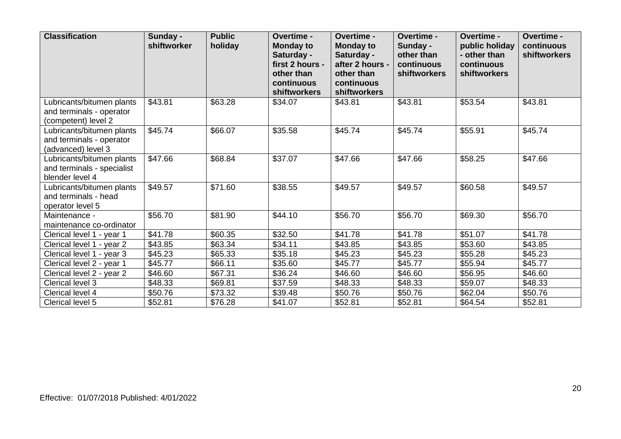| <b>Classification</b>                                                        | Sunday -<br>shiftworker | <b>Public</b><br>holiday | Overtime -<br><b>Monday to</b><br>Saturday -<br>first 2 hours -<br>other than<br>continuous<br>shiftworkers | Overtime -<br><b>Monday to</b><br>Saturday -<br>after 2 hours -<br>other than<br>continuous<br>shiftworkers | Overtime -<br>Sunday -<br>other than<br>continuous<br><b>shiftworkers</b> | Overtime -<br>public holiday<br>- other than<br>continuous<br><b>shiftworkers</b> | Overtime -<br>continuous<br><b>shiftworkers</b> |
|------------------------------------------------------------------------------|-------------------------|--------------------------|-------------------------------------------------------------------------------------------------------------|-------------------------------------------------------------------------------------------------------------|---------------------------------------------------------------------------|-----------------------------------------------------------------------------------|-------------------------------------------------|
| Lubricants/bitumen plants<br>and terminals - operator<br>(competent) level 2 | \$43.81                 | \$63.28                  | \$34.07                                                                                                     | \$43.81                                                                                                     | \$43.81                                                                   | \$53.54                                                                           | \$43.81                                         |
| Lubricants/bitumen plants<br>and terminals - operator<br>(advanced) level 3  | \$45.74                 | \$66.07                  | \$35.58                                                                                                     | \$45.74                                                                                                     | \$45.74                                                                   | \$55.91                                                                           | \$45.74                                         |
| Lubricants/bitumen plants<br>and terminals - specialist<br>blender level 4   | \$47.66                 | \$68.84                  | \$37.07                                                                                                     | \$47.66                                                                                                     | \$47.66                                                                   | \$58.25                                                                           | \$47.66                                         |
| Lubricants/bitumen plants<br>and terminals - head<br>operator level 5        | \$49.57                 | \$71.60                  | \$38.55                                                                                                     | \$49.57                                                                                                     | \$49.57                                                                   | \$60.58                                                                           | \$49.57                                         |
| Maintenance -<br>maintenance co-ordinator                                    | \$56.70                 | \$81.90                  | \$44.10                                                                                                     | \$56.70                                                                                                     | \$56.70                                                                   | \$69.30                                                                           | \$56.70                                         |
| Clerical level 1 - year 1                                                    | \$41.78                 | \$60.35                  | \$32.50                                                                                                     | \$41.78                                                                                                     | \$41.78                                                                   | \$51.07                                                                           | \$41.78                                         |
| Clerical level 1 - year 2                                                    | \$43.85                 | \$63.34                  | \$34.11                                                                                                     | \$43.85                                                                                                     | \$43.85                                                                   | \$53.60                                                                           | \$43.85                                         |
| Clerical level 1 - year 3                                                    | \$45.23                 | \$65.33                  | \$35.18                                                                                                     | \$45.23                                                                                                     | \$45.23                                                                   | \$55.28                                                                           | \$45.23                                         |
| Clerical level 2 - year 1                                                    | \$45.77                 | \$66.11                  | \$35.60                                                                                                     | \$45.77                                                                                                     | \$45.77                                                                   | \$55.94                                                                           | \$45.77                                         |
| Clerical level 2 - year 2                                                    | \$46.60                 | \$67.31                  | \$36.24                                                                                                     | \$46.60                                                                                                     | \$46.60                                                                   | \$56.95                                                                           | \$46.60                                         |
| Clerical level 3                                                             | \$48.33                 | \$69.81                  | \$37.59                                                                                                     | \$48.33                                                                                                     | \$48.33                                                                   | \$59.07                                                                           | \$48.33                                         |
| Clerical level 4                                                             | \$50.76                 | \$73.32                  | \$39.48                                                                                                     | \$50.76                                                                                                     | \$50.76                                                                   | \$62.04                                                                           | \$50.76                                         |
| Clerical level 5                                                             | \$52.81                 | \$76.28                  | \$41.07                                                                                                     | \$52.81                                                                                                     | \$52.81                                                                   | \$64.54                                                                           | \$52.81                                         |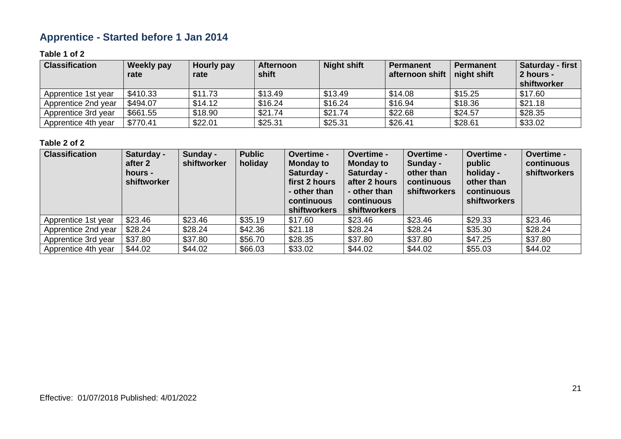# **Apprentice - Started before 1 Jan 2014**

#### **Table 1 of 2**

| <b>Classification</b> | <b>Weekly pay</b><br>rate | Hourly pay<br>rate | <b>Afternoon</b><br>shift | <b>Night shift</b> | <b>Permanent</b><br>afternoon shift | <b>Permanent</b><br>$\vert$ night shift | <b>Saturday - first</b><br>2 hours -<br>shiftworker |
|-----------------------|---------------------------|--------------------|---------------------------|--------------------|-------------------------------------|-----------------------------------------|-----------------------------------------------------|
| Apprentice 1st year   | \$410.33                  | \$11.73            | \$13.49                   | \$13.49            | \$14.08                             | \$15.25                                 | \$17.60                                             |
| Apprentice 2nd year   | \$494.07                  | \$14.12            | \$16.24                   | \$16.24            | \$16.94                             | \$18.36                                 | \$21.18                                             |
| Apprentice 3rd year   | \$661.55                  | \$18.90            | \$21.74                   | \$21.74            | \$22.68                             | \$24.57                                 | \$28.35                                             |
| Apprentice 4th year   | \$770.41                  | \$22.01            | \$25.31                   | \$25.31            | \$26.41                             | \$28.61                                 | \$33.02                                             |

| <b>Classification</b> | Saturday -<br>after 2<br>hours -<br>shiftworker | Sunday -<br>shiftworker | <b>Public</b><br>holiday | Overtime -<br><b>Monday to</b><br>Saturday -<br>first 2 hours<br>- other than<br>continuous<br>shiftworkers | Overtime -<br><b>Monday to</b><br>Saturday -<br>after 2 hours<br>- other than<br>continuous<br><b>shiftworkers</b> | Overtime -<br>Sunday -<br>other than<br>continuous<br>shiftworkers | Overtime -<br>public<br>holiday -<br>other than<br>continuous<br><b>shiftworkers</b> | Overtime -<br>continuous<br>shiftworkers |
|-----------------------|-------------------------------------------------|-------------------------|--------------------------|-------------------------------------------------------------------------------------------------------------|--------------------------------------------------------------------------------------------------------------------|--------------------------------------------------------------------|--------------------------------------------------------------------------------------|------------------------------------------|
| Apprentice 1st year   | \$23.46                                         | \$23.46                 | \$35.19                  | \$17.60                                                                                                     | \$23.46                                                                                                            | \$23.46                                                            | \$29.33                                                                              | \$23.46                                  |
| Apprentice 2nd year   | \$28.24                                         | \$28.24                 | \$42.36                  | \$21.18                                                                                                     | \$28.24                                                                                                            | \$28.24                                                            | \$35.30                                                                              | \$28.24                                  |
| Apprentice 3rd year   | \$37.80                                         | \$37.80                 | \$56.70                  | \$28.35                                                                                                     | \$37.80                                                                                                            | \$37.80                                                            | \$47.25                                                                              | \$37.80                                  |
| Apprentice 4th year   | \$44.02                                         | \$44.02                 | \$66.03                  | \$33.02                                                                                                     | \$44.02                                                                                                            | \$44.02                                                            | \$55.03                                                                              | \$44.02                                  |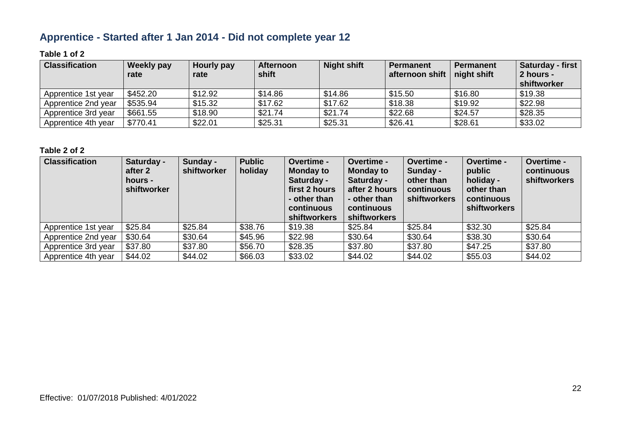# **Apprentice - Started after 1 Jan 2014 - Did not complete year 12**

#### **Table 1 of 2**

| <b>Classification</b> | Weekly pay<br>rate | Hourly pay<br>rate | <b>Afternoon</b><br>shift | <b>Night shift</b> | <b>Permanent</b><br>afternoon shift | <b>Permanent</b><br>$\vert$ night shift | <b>Saturday - first</b><br>2 hours -<br>shiftworker |
|-----------------------|--------------------|--------------------|---------------------------|--------------------|-------------------------------------|-----------------------------------------|-----------------------------------------------------|
| Apprentice 1st year   | \$452.20           | \$12.92            | \$14.86                   | \$14.86            | \$15.50                             | \$16.80                                 | \$19.38                                             |
| Apprentice 2nd year   | \$535.94           | \$15.32            | \$17.62                   | \$17.62            | \$18.38                             | \$19.92                                 | \$22.98                                             |
| Apprentice 3rd year   | \$661.55           | \$18.90            | \$21.74                   | \$21.74            | \$22.68                             | \$24.57                                 | \$28.35                                             |
| Apprentice 4th year   | \$770.41           | \$22.01            | \$25.31                   | \$25.31            | \$26.41                             | \$28.61                                 | \$33.02                                             |

| <b>Classification</b> | Saturday -<br>after 2<br>hours -<br>shiftworker | Sunday -<br>shiftworker | <b>Public</b><br>holiday | Overtime -<br><b>Monday to</b><br>Saturday -<br>first 2 hours<br>- other than<br>continuous<br><b>shiftworkers</b> | <b>Overtime -</b><br>Monday to<br>Saturday -<br>after 2 hours<br>- other than<br>continuous<br><b>shiftworkers</b> | Overtime -<br>Sunday -<br>other than<br>continuous<br><b>shiftworkers</b> | Overtime -<br>public<br>holiday -<br>other than<br>continuous<br><b>shiftworkers</b> | Overtime -<br>continuous<br>shiftworkers |
|-----------------------|-------------------------------------------------|-------------------------|--------------------------|--------------------------------------------------------------------------------------------------------------------|--------------------------------------------------------------------------------------------------------------------|---------------------------------------------------------------------------|--------------------------------------------------------------------------------------|------------------------------------------|
| Apprentice 1st year   | \$25.84                                         | \$25.84                 | \$38.76                  | \$19.38                                                                                                            | \$25.84                                                                                                            | \$25.84                                                                   | \$32.30                                                                              | \$25.84                                  |
| Apprentice 2nd year   | \$30.64                                         | \$30.64                 | \$45.96                  | \$22.98                                                                                                            | \$30.64                                                                                                            | \$30.64                                                                   | \$38.30                                                                              | \$30.64                                  |
| Apprentice 3rd year   | \$37.80                                         | \$37.80                 | \$56.70                  | \$28.35                                                                                                            | \$37.80                                                                                                            | \$37.80                                                                   | \$47.25                                                                              | \$37.80                                  |
| Apprentice 4th year   | \$44.02                                         | \$44.02                 | \$66.03                  | \$33.02                                                                                                            | \$44.02                                                                                                            | \$44.02                                                                   | \$55.03                                                                              | \$44.02                                  |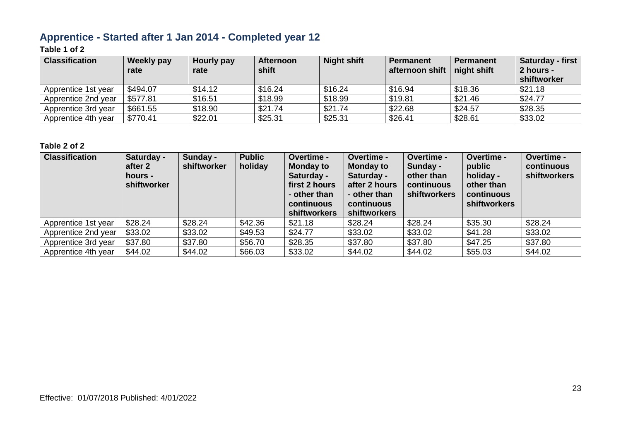# **Apprentice - Started after 1 Jan 2014 - Completed year 12**

### **Table 1 of 2**

| <b>Classification</b> | <b>Weekly pay</b><br>rate | Hourly pay<br>rate | <b>Afternoon</b><br>shift | <b>Night shift</b> | <b>Permanent</b><br>afternoon shift | <b>Permanent</b><br>night shift | <b>Saturday - first</b><br>2 hours -<br>shiftworker |
|-----------------------|---------------------------|--------------------|---------------------------|--------------------|-------------------------------------|---------------------------------|-----------------------------------------------------|
| Apprentice 1st year   | \$494.07                  | \$14.12            | \$16.24                   | \$16.24            | \$16.94                             | \$18.36                         | \$21.18                                             |
| Apprentice 2nd year   | \$577.81                  | \$16.51            | \$18.99                   | \$18.99            | \$19.81                             | \$21.46                         | \$24.77                                             |
| Apprentice 3rd year   | \$661.55                  | \$18.90            | \$21.74                   | \$21.74            | \$22.68                             | \$24.57                         | \$28.35                                             |
| Apprentice 4th year   | \$770.41                  | \$22.01            | \$25.31                   | \$25.31            | \$26.41                             | \$28.61                         | \$33.02                                             |

| <b>Classification</b> | Saturday -<br>after 2<br>hours -<br>shiftworker | Sunday -<br>shiftworker | <b>Public</b><br>holiday | Overtime -<br><b>Monday to</b><br>Saturday -<br>first 2 hours<br>- other than<br>continuous<br><b>shiftworkers</b> | Overtime -<br><b>Monday to</b><br>Saturday -<br>after 2 hours<br>- other than<br>continuous<br><b>shiftworkers</b> | Overtime -<br>Sunday -<br>other than<br>continuous<br>shiftworkers | Overtime -<br>public<br>holiday -<br>other than<br><b>continuous</b><br><b>shiftworkers</b> | Overtime -<br>continuous<br>shiftworkers |
|-----------------------|-------------------------------------------------|-------------------------|--------------------------|--------------------------------------------------------------------------------------------------------------------|--------------------------------------------------------------------------------------------------------------------|--------------------------------------------------------------------|---------------------------------------------------------------------------------------------|------------------------------------------|
| Apprentice 1st year   | \$28.24                                         | \$28.24                 | \$42.36                  | \$21.18                                                                                                            | \$28.24                                                                                                            | \$28.24                                                            | \$35.30                                                                                     | \$28.24                                  |
| Apprentice 2nd year   | \$33.02                                         | \$33.02                 | \$49.53                  | \$24.77                                                                                                            | \$33.02                                                                                                            | \$33.02                                                            | \$41.28                                                                                     | \$33.02                                  |
| Apprentice 3rd year   | \$37.80                                         | \$37.80                 | \$56.70                  | \$28.35                                                                                                            | \$37.80                                                                                                            | \$37.80                                                            | \$47.25                                                                                     | \$37.80                                  |
| Apprentice 4th year   | \$44.02                                         | \$44.02                 | \$66.03                  | \$33.02                                                                                                            | \$44.02                                                                                                            | \$44.02                                                            | \$55.03                                                                                     | \$44.02                                  |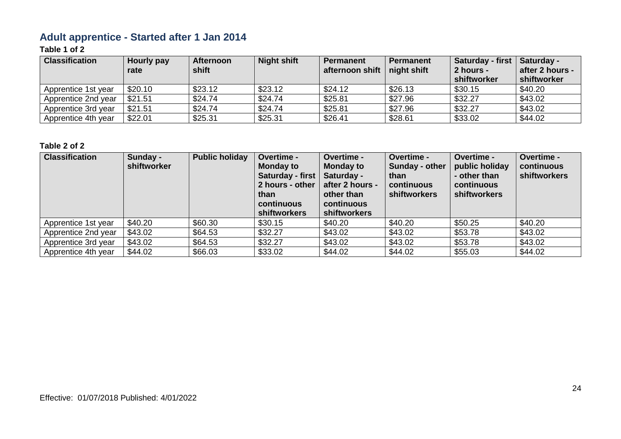# **Adult apprentice - Started after 1 Jan 2014**

### **Table 1 of 2**

| <b>Classification</b> | Hourly pay<br>rate | <b>Afternoon</b><br>shift | <b>Night shift</b> | <b>Permanent</b><br>afternoon shift | <b>Permanent</b><br>night shift | Saturday - first   Saturday -<br>2 hours -<br>shiftworker | after 2 hours -<br>shiftworker |
|-----------------------|--------------------|---------------------------|--------------------|-------------------------------------|---------------------------------|-----------------------------------------------------------|--------------------------------|
| Apprentice 1st year   | \$20.10            | \$23.12                   | \$23.12            | \$24.12                             | \$26.13                         | \$30.15                                                   | \$40.20                        |
| Apprentice 2nd year   | \$21.51            | \$24.74                   | \$24.74            | \$25.81                             | \$27.96                         | \$32.27                                                   | \$43.02                        |
| Apprentice 3rd year   | \$21.51            | \$24.74                   | \$24.74            | \$25.81                             | \$27.96                         | \$32.27                                                   | \$43.02                        |
| Apprentice 4th year   | \$22.01            | \$25.31                   | \$25.31            | \$26.41                             | \$28.61                         | \$33.02                                                   | \$44.02                        |

| <b>Classification</b> | Sunday -<br>shiftworker | <b>Public holiday</b> | Overtime -<br><b>Monday to</b><br>Saturday - first<br>2 hours - other<br>than<br>continuous<br>shiftworkers | Overtime -<br><b>Monday to</b><br>Saturday -<br>after 2 hours -<br>other than<br>continuous<br>shiftworkers | Overtime -<br>Sunday - other<br>than<br>continuous<br><b>shiftworkers</b> | Overtime -<br>public holiday<br>- other than<br>continuous<br>shiftworkers | Overtime -<br>continuous<br>shiftworkers |
|-----------------------|-------------------------|-----------------------|-------------------------------------------------------------------------------------------------------------|-------------------------------------------------------------------------------------------------------------|---------------------------------------------------------------------------|----------------------------------------------------------------------------|------------------------------------------|
| Apprentice 1st year   | \$40.20                 | \$60.30               | \$30.15                                                                                                     | \$40.20                                                                                                     | \$40.20                                                                   | \$50.25                                                                    | \$40.20                                  |
| Apprentice 2nd year   | \$43.02                 | \$64.53               | \$32.27                                                                                                     | \$43.02                                                                                                     | \$43.02                                                                   | \$53.78                                                                    | \$43.02                                  |
| Apprentice 3rd year   | \$43.02                 | \$64.53               | \$32.27                                                                                                     | \$43.02                                                                                                     | \$43.02                                                                   | \$53.78                                                                    | \$43.02                                  |
| Apprentice 4th year   | \$44.02                 | \$66.03               | \$33.02                                                                                                     | \$44.02                                                                                                     | \$44.02                                                                   | \$55.03                                                                    | \$44.02                                  |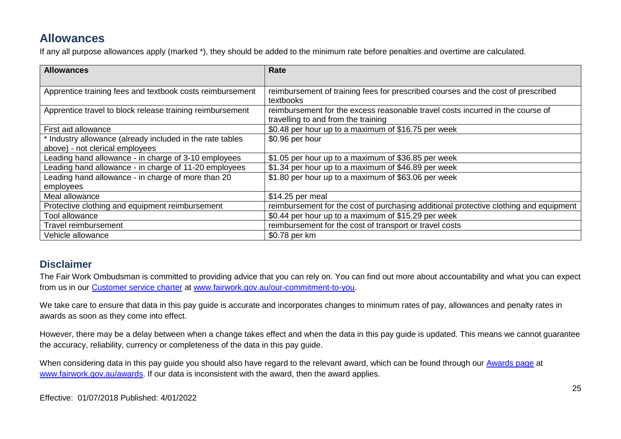# **Allowances**

If any all purpose allowances apply (marked \*), they should be added to the minimum rate before penalties and overtime are calculated.

| <b>Allowances</b>                                         | Rate                                                                                  |
|-----------------------------------------------------------|---------------------------------------------------------------------------------------|
|                                                           |                                                                                       |
| Apprentice training fees and textbook costs reimbursement | reimbursement of training fees for prescribed courses and the cost of prescribed      |
|                                                           | textbooks                                                                             |
| Apprentice travel to block release training reimbursement | reimbursement for the excess reasonable travel costs incurred in the course of        |
|                                                           | travelling to and from the training                                                   |
| First aid allowance                                       | \$0.48 per hour up to a maximum of \$16.75 per week                                   |
| * Industry allowance (already included in the rate tables | \$0.96 per hour                                                                       |
| above) - not clerical employees                           |                                                                                       |
| Leading hand allowance - in charge of 3-10 employees      | \$1.05 per hour up to a maximum of \$36.85 per week                                   |
| Leading hand allowance - in charge of 11-20 employees     | \$1.34 per hour up to a maximum of \$46.89 per week                                   |
| Leading hand allowance - in charge of more than 20        | \$1.80 per hour up to a maximum of \$63.06 per week                                   |
| employees                                                 |                                                                                       |
| Meal allowance                                            | \$14.25 per meal                                                                      |
| Protective clothing and equipment reimbursement           | reimbursement for the cost of purchasing additional protective clothing and equipment |
| Tool allowance                                            | \$0.44 per hour up to a maximum of \$15.29 per week                                   |
| Travel reimbursement                                      | reimbursement for the cost of transport or travel costs                               |
| Vehicle allowance                                         | \$0.78 per km                                                                         |

### **Disclaimer**

The Fair Work Ombudsman is committed to providing advice that you can rely on. You can find out more about accountability and what you can expect from us in our [Customer service charter](https://www.fairwork.gov.au/about-us/our-role-and-purpose/our-priorities/our-commitment-to-you#customer-service-charter) at [www.fairwork.gov.au/our-commitment-to-you.](http://www.fairwork.gov.au/our-commitment-to-you)

We take care to ensure that data in this pay guide is accurate and incorporates changes to minimum rates of pay, allowances and penalty rates in awards as soon as they come into effect.

However, there may be a delay between when a change takes effect and when the data in this pay guide is updated. This means we cannot guarantee the accuracy, reliability, currency or completeness of the data in this pay guide.

When considering data in this pay guide you should also have regard to the relevant award, which can be found through our [Awards page](https://www.fairwork.gov.au/awards-and-agreements/awards) at [www.fairwork.gov.au/awards.](http://www.fairwork.gov.au/awards) If our data is inconsistent with the award, then the award applies.

Effective: 01/07/2018 Published: 4/01/2022